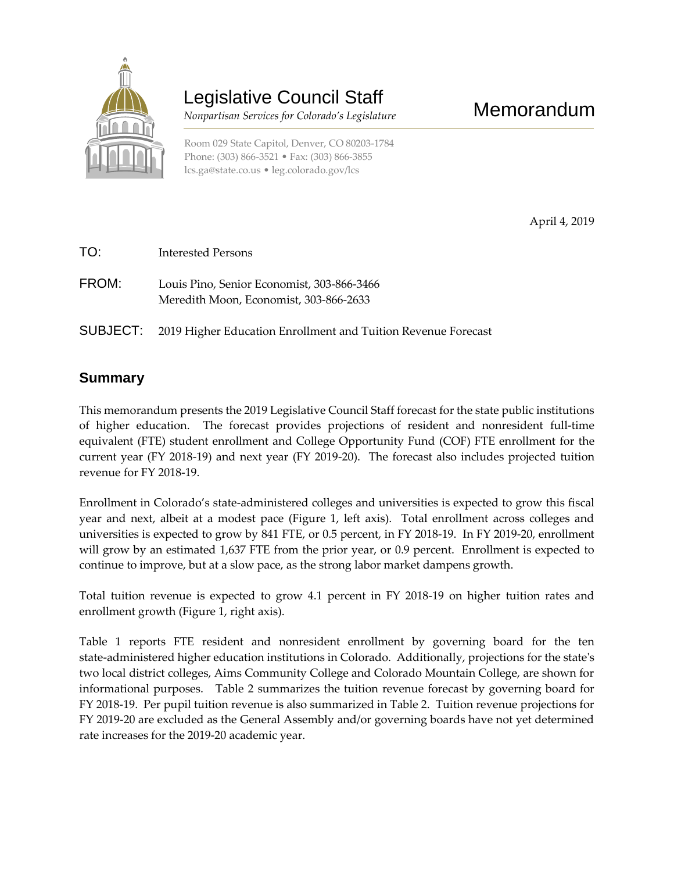

# Legislative Council Staff

 *Nonpartisan Services for Colorado's Legislature*

Room 029 State Capitol, Denver, CO 80203-1784 Phone: (303) 866-3521 • Fax: (303) 866-3855 [lcs.ga@state.co.us](mailto:lcs.ga@state.co.us) • [leg.colorado.gov/lcs](http://leg.colorado.gov/lcs)

April 4, 2019

- TO: Interested Persons FROM: Louis Pino, Senior Economist, 303-866-3466 Meredith Moon, Economist, 303-866-2633
- SUBJECT: 2019 Higher Education Enrollment and Tuition Revenue Forecast

### **Summary**

This memorandum presents the 2019 Legislative Council Staff forecast for the state public institutions of higher education. The forecast provides projections of resident and nonresident full-time equivalent (FTE) student enrollment and College Opportunity Fund (COF) FTE enrollment for the current year (FY 2018-19) and next year (FY 2019-20). The forecast also includes projected tuition revenue for FY 2018-19.

Enrollment in Colorado's state-administered colleges and universities is expected to grow this fiscal year and next, albeit at a modest pace (Figure 1, left axis). Total enrollment across colleges and universities is expected to grow by 841 FTE, or 0.5 percent, in FY 2018-19. In FY 2019-20, enrollment will grow by an estimated 1,637 FTE from the prior year, or 0.9 percent. Enrollment is expected to continue to improve, but at a slow pace, as the strong labor market dampens growth.

Total tuition revenue is expected to grow 4.1 percent in FY 2018-19 on higher tuition rates and enrollment growth (Figure 1, right axis).

Table 1 reports FTE resident and nonresident enrollment by governing board for the ten state-administered higher education institutions in Colorado. Additionally, projections for the state's two local district colleges, Aims Community College and Colorado Mountain College, are shown for informational purposes. Table 2 summarizes the tuition revenue forecast by governing board for FY 2018-19. Per pupil tuition revenue is also summarized in Table 2. Tuition revenue projections for FY 2019-20 are excluded as the General Assembly and/or governing boards have not yet determined rate increases for the 2019-20 academic year.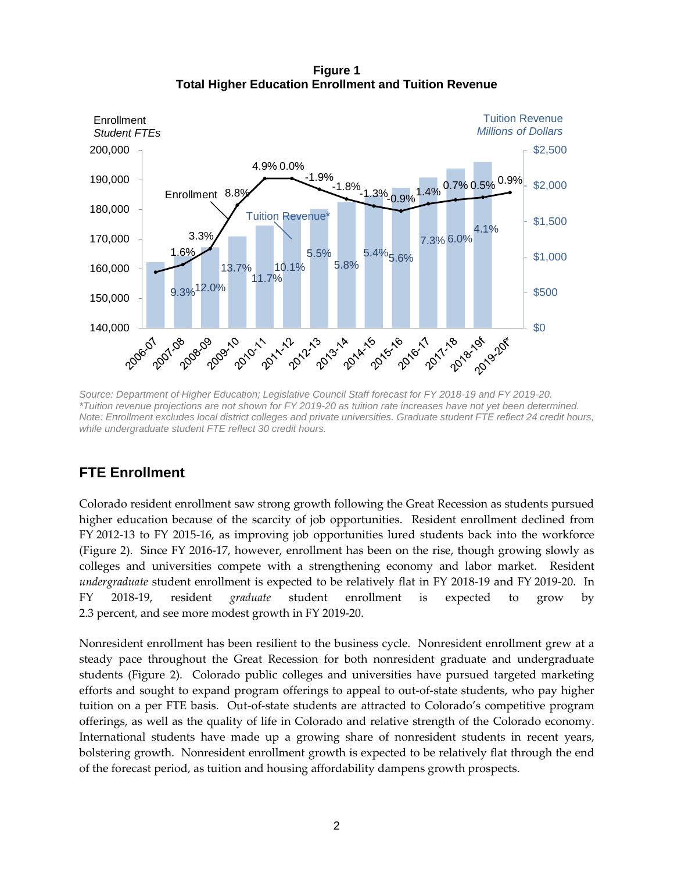**Figure 1 Total Higher Education Enrollment and Tuition Revenue**



*Source: Department of Higher Education; Legislative Council Staff forecast for FY 2018-19 and FY 2019-20. \*Tuition revenue projections are not shown for FY 2019-20 as tuition rate increases have not yet been determined. Note: Enrollment excludes local district colleges and private universities. Graduate student FTE reflect 24 credit hours, while undergraduate student FTE reflect 30 credit hours.*

## **FTE Enrollment**

Colorado resident enrollment saw strong growth following the Great Recession as students pursued higher education because of the scarcity of job opportunities. Resident enrollment declined from FY 2012-13 to FY 2015-16, as improving job opportunities lured students back into the workforce (Figure 2). Since FY 2016-17, however, enrollment has been on the rise, though growing slowly as colleges and universities compete with a strengthening economy and labor market. Resident *undergraduate* student enrollment is expected to be relatively flat in FY 2018-19 and FY 2019-20. In FY 2018-19, resident *graduate* student enrollment is expected to grow by 2.3 percent, and see more modest growth in FY 2019-20.

Nonresident enrollment has been resilient to the business cycle. Nonresident enrollment grew at a steady pace throughout the Great Recession for both nonresident graduate and undergraduate students (Figure 2). Colorado public colleges and universities have pursued targeted marketing efforts and sought to expand program offerings to appeal to out-of-state students, who pay higher tuition on a per FTE basis. Out-of-state students are attracted to Colorado's competitive program offerings, as well as the quality of life in Colorado and relative strength of the Colorado economy. International students have made up a growing share of nonresident students in recent years, bolstering growth. Nonresident enrollment growth is expected to be relatively flat through the end of the forecast period, as tuition and housing affordability dampens growth prospects.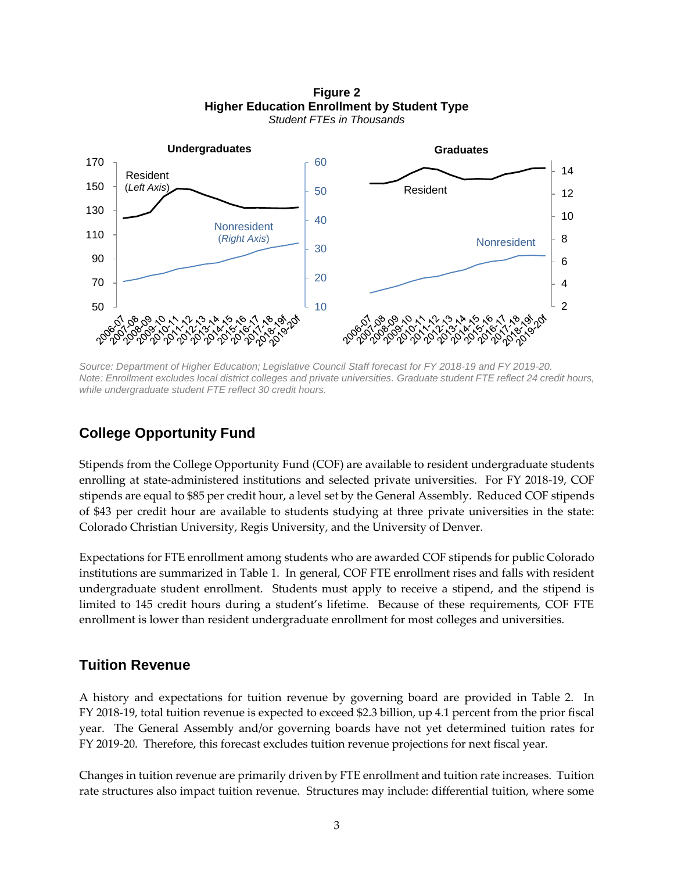**Figure 2 Higher Education Enrollment by Student Type** *Student FTEs in Thousands*



*Source: Department of Higher Education; Legislative Council Staff forecast for FY 2018-19 and FY 2019-20. Note: Enrollment excludes local district colleges and private universities. Graduate student FTE reflect 24 credit hours, while undergraduate student FTE reflect 30 credit hours.*

## **College Opportunity Fund**

Stipends from the College Opportunity Fund (COF) are available to resident undergraduate students enrolling at state-administered institutions and selected private universities. For FY 2018-19, COF stipends are equal to \$85 per credit hour, a level set by the General Assembly. Reduced COF stipends of \$43 per credit hour are available to students studying at three private universities in the state: Colorado Christian University, Regis University, and the University of Denver.

Expectations for FTE enrollment among students who are awarded COF stipends for public Colorado institutions are summarized in Table 1. In general, COF FTE enrollment rises and falls with resident undergraduate student enrollment. Students must apply to receive a stipend, and the stipend is limited to 145 credit hours during a student's lifetime. Because of these requirements, COF FTE enrollment is lower than resident undergraduate enrollment for most colleges and universities.

## **Tuition Revenue**

A history and expectations for tuition revenue by governing board are provided in Table 2. In FY 2018-19, total tuition revenue is expected to exceed \$2.3 billion, up 4.1 percent from the prior fiscal year. The General Assembly and/or governing boards have not yet determined tuition rates for FY 2019-20. Therefore, this forecast excludes tuition revenue projections for next fiscal year.

Changes in tuition revenue are primarily driven by FTE enrollment and tuition rate increases. Tuition rate structures also impact tuition revenue. Structures may include: differential tuition, where some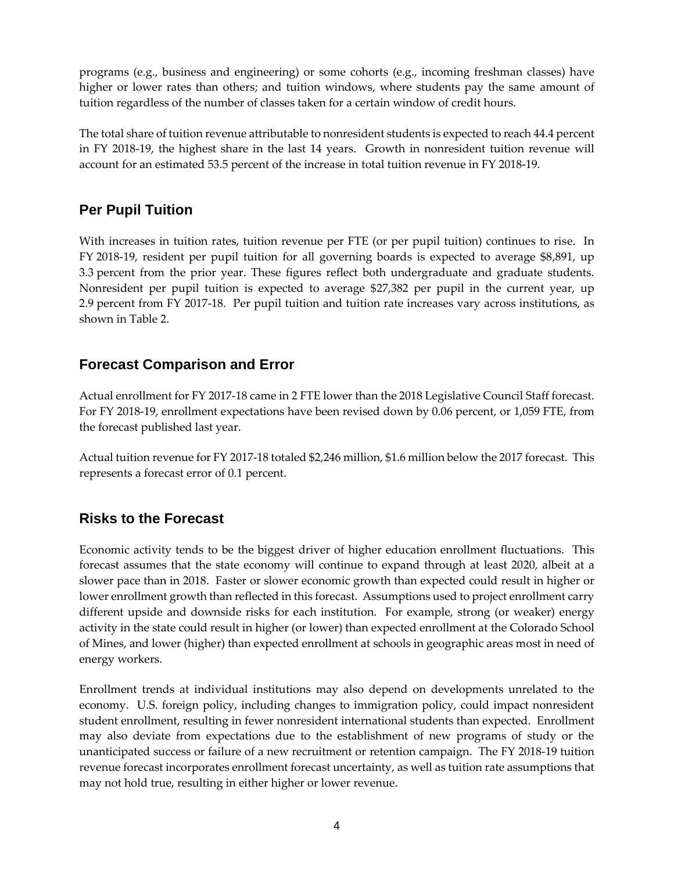programs (e.g., business and engineering) or some cohorts (e.g., incoming freshman classes) have higher or lower rates than others; and tuition windows, where students pay the same amount of tuition regardless of the number of classes taken for a certain window of credit hours.

The total share of tuition revenue attributable to nonresident students is expected to reach 44.4 percent in FY 2018-19, the highest share in the last 14 years. Growth in nonresident tuition revenue will account for an estimated 53.5 percent of the increase in total tuition revenue in FY 2018-19.

# **Per Pupil Tuition**

With increases in tuition rates, tuition revenue per FTE (or per pupil tuition) continues to rise. In FY 2018-19, resident per pupil tuition for all governing boards is expected to average \$8,891, up 3.3 percent from the prior year. These figures reflect both undergraduate and graduate students. Nonresident per pupil tuition is expected to average \$27,382 per pupil in the current year, up 2.9 percent from FY 2017-18. Per pupil tuition and tuition rate increases vary across institutions, as shown in Table 2.

# **Forecast Comparison and Error**

Actual enrollment for FY 2017-18 came in 2 FTE lower than the 2018 Legislative Council Staff forecast. For FY 2018-19, enrollment expectations have been revised down by 0.06 percent, or 1,059 FTE, from the forecast published last year.

Actual tuition revenue for FY 2017-18 totaled \$2,246 million, \$1.6 million below the 2017 forecast. This represents a forecast error of 0.1 percent.

# **Risks to the Forecast**

Economic activity tends to be the biggest driver of higher education enrollment fluctuations. This forecast assumes that the state economy will continue to expand through at least 2020, albeit at a slower pace than in 2018. Faster or slower economic growth than expected could result in higher or lower enrollment growth than reflected in this forecast. Assumptions used to project enrollment carry different upside and downside risks for each institution. For example, strong (or weaker) energy activity in the state could result in higher (or lower) than expected enrollment at the Colorado School of Mines, and lower (higher) than expected enrollment at schools in geographic areas most in need of energy workers.

Enrollment trends at individual institutions may also depend on developments unrelated to the economy. U.S. foreign policy, including changes to immigration policy, could impact nonresident student enrollment, resulting in fewer nonresident international students than expected. Enrollment may also deviate from expectations due to the establishment of new programs of study or the unanticipated success or failure of a new recruitment or retention campaign. The FY 2018-19 tuition revenue forecast incorporates enrollment forecast uncertainty, as well as tuition rate assumptions that may not hold true, resulting in either higher or lower revenue.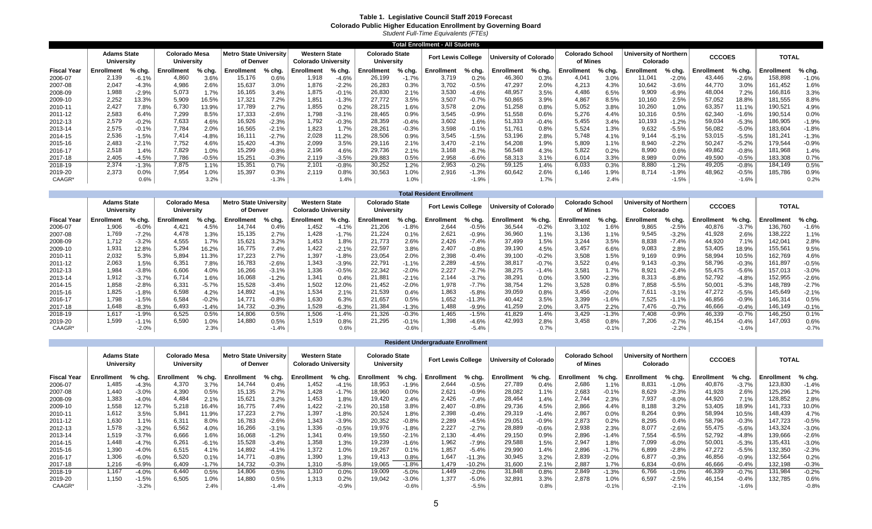### **Table 1. Legislative Council Staff 2019 Forecast Colorado Public Higher Education Enrollment by Governing Board**

*Student Full-Time Equivalents (FTEs)*

|                    |                                  |         |                             |          |                                            |          |                                                    |         |                                            |          | Total Enrollment - All Students |         |                               |          |                                    |          |                                           |          |                   |         |                   |         |
|--------------------|----------------------------------|---------|-----------------------------|----------|--------------------------------------------|----------|----------------------------------------------------|---------|--------------------------------------------|----------|---------------------------------|---------|-------------------------------|----------|------------------------------------|----------|-------------------------------------------|----------|-------------------|---------|-------------------|---------|
|                    | <b>Adams State</b><br>University |         | Colorado Mesa<br>University |          | <b>Metro State Universitv</b><br>of Denver |          | <b>Western State</b><br><b>Colorado University</b> |         | <b>Colorado State</b><br><b>University</b> |          | <b>Fort Lewis College</b>       |         | <b>University of Colorado</b> |          | <b>Colorado School</b><br>of Mines |          | <b>University of Northern</b><br>Colorado |          | <b>CCCOES</b>     |         | TOTAL             |         |
| <b>Fiscal Year</b> | Enrollment                       | % chg.  | Enrollment                  | $%$ chg. | Enrollment                                 | $%$ chg. | Enrollment                                         | % chg.  | Enrollment                                 | $%$ chg. | Enrollment                      | % chg.  | <b>Enrollment</b>             | $%$ chg. | Enrollment                         | $%$ chg. | Enrollment                                | % chg.   | <b>Enrollment</b> | % chg.  | <b>Enrollment</b> | % chg.  |
| 2006-07            | 2.139                            | $-6.1%$ | 4.860                       | 3.6%     | 15,176                                     | 0.6%     | 1,918                                              | $-4.6%$ | 26,199                                     | $-1.7%$  | 3,719                           | 0.2%    | 46,360                        | 0.3%     | 4.041                              | 3.0%     | 11,041                                    | $-2.0%$  | 43,446            | $-2.6%$ | 158,898           | $-1.0%$ |
| 2007-08            | 2,047                            | $-4.3%$ | 4.986                       | 2.6%     | 15,637                                     | 3.0%     | 1,876                                              | $-2.2%$ | 26,283                                     | 0.3%     | 3.702                           | $-0.5%$ | 47.297                        | 2.0%     | 4.213                              | 4.3%     | 10,642                                    | $-3.6%$  | 44,770            | 3.0%    | 161,452           | 1.6%    |
| 2008-09            | 1,988                            | $-2.9%$ | 5.073                       | 1.7%     | 16,165                                     | 3.4%     | 1,875                                              | $-0.1%$ | 26,830                                     | 2.1%     | 3,530                           | $-4.6%$ | 48,957                        | 3.5%     | 4,486                              | 6.5%     | 9,909                                     | $-6.9%$  | 48,004            | 7.2%    | 166,816           | 3.3%    |
| 2009-10            | 2,252                            | 13.3%   | 5,909                       | 16.5%    | 17,321                                     | 7.2%     | 1,851                                              | $-1.3%$ | 27,772                                     | 3.5%     | 3,507                           | $-0.7%$ | 50,865                        | 3.9%     | 4,867                              | 8.5%     | 10,160                                    | 2.5%     | 57,052            | 18.8%   | 181,555           | 8.8%    |
| 2010-11            | 2,427                            | 7.8%    | 6,730                       | 13.9%    | 17,789                                     | 2.7%     | 1,855                                              | 0.2%    | 28,215                                     | 1.6%     | 3,578                           | 2.0%    | 51,258                        | 0.8%     | 5,052                              | 3.8%     | 10,260                                    | 1.0%     | 63,357            | 11.1%   | 190,521           | 4.9%    |
| 2011-12            | 2,583                            | 6.4%    | 7,299                       | 8.5%     | 17,333                                     | $-2.6%$  | 1,798                                              | $-3.1%$ | 28,465                                     | 0.9%     | 3,545                           | $-0.9%$ | 51,558                        | 0.6%     | 5.276                              | 4.4%     | 10,316                                    | 0.5%     | 62,340            | $-1.6%$ | 190,514           | 0.0%    |
| 2012-13            | 2,579                            | $-0.2%$ | 7,633                       | 4.6%     | 16,926                                     | $-2.3%$  | 1.792                                              | $-0.3%$ | 28,359                                     | $-0.4%$  | 3,602                           | 1.6%    | 51,333                        | $-0.4%$  | 5.455                              | 3.4%     | 10,193                                    | $-1.2%$  | 59,034            | $-5.3%$ | 186,905           | $-1.9%$ |
| 2013-14            | 2,575                            | $-0.1%$ | 7.784                       | 2.0%     | 16,565                                     | $-2.1%$  | 1,823                                              | 1.7%    | 28,261                                     | $-0.3%$  | 3,598                           | $-0.1%$ | 51,761                        | 0.8%     | 5,524                              | 1.3%     | 9,632                                     | $-5.5%$  | 56,082            | $-5.0%$ | 183,604           | $-1.8%$ |
| 2014-15            | 2,536                            | $-1.5%$ | 7,414                       | $-4.8%$  | 16.111                                     | $-2.7%$  | 2,028                                              | 11.2%   | 28,506                                     | 0.9%     | 3,545                           | $-1.5%$ | 53,196                        | 2.8%     | 5.748                              | 4.1%     | 9,144                                     | $-5.1%$  | 53,015            | $-5.5%$ | 181,241           | $-1.3%$ |
| 2015-16            | 2.483                            | $-2.1%$ | 7,752                       | 4.6%     | 15,420                                     | $-4.3%$  | 2,099                                              | 3.5%    | 29.116                                     | 2.1%     | 3.470                           | $-2.1%$ | 54,208                        | 1.9%     | 5.809                              | 1.1%     | 8,940                                     | $-2.2%$  | 50,247            | $-5.2%$ | 179,544           | $-0.9%$ |
| 2016-17            | 2,518                            | 1.4%    | 7.829                       | 1.0%     | 15,299                                     | $-0.8%$  | 2,196                                              | 4.6%    | 29,736                                     | 2.1%     | 3.168                           | $-8.7%$ | 56,548                        | 4.3%     | 5,822                              | 0.2%     | 8,990                                     | 0.6%     | 49,862            | $-0.8%$ | 181,968           | 1.4%    |
| 2017-18            | 2,405                            | $-4.5%$ | 7.786                       | $-0.5%$  | 15.251                                     | $-0.3%$  | 2.119                                              | $-3.5%$ | 29,883                                     | 0.5%     | 2,958                           | $-6.6%$ | 58.313                        | 3.1%     | 6.014                              | 3.3%     | 8,989                                     | 0.0%     | 49,590            | $-0.5%$ | 183,308           | 0.7%    |
| 2018-19            | 2.374                            | $-1.3%$ | 7.875                       | $1.1\%$  | 15.35'                                     | 0.7%     | 2.101                                              | $-0.8%$ | 30.252                                     | 1.2%     | 2,953                           | $-0.2%$ | 59,125                        | 1.4%     | 6.033                              | 0.3%     | 8,880                                     | $-1.2\%$ | 49,205            | $-0.8%$ | 184.149           | 0.5%    |
| 2019-20            | 2.373                            | 0.0%    | 7.954                       | 1.0%     | 15.397                                     | 0.3%     | 2.119                                              | 0.8%    | 30.563                                     | 1.0%     | 2.916                           | $-1.3%$ | 60.642                        | 2.6%     | 6.146                              | 1.9%     | 8.714                                     | -1.9%    | 48,962            | $-0.5%$ | 185.786           | 0.9%    |
| CAAGR*             |                                  | 0.6%    |                             | 3.2%     |                                            | $-1.3%$  |                                                    | 1.4%    |                                            | 1.0%     |                                 | $-1.9%$ |                               | 1.7%     |                                    | 2.4%     |                                           | $-1.5%$  |                   | $-1.6%$ |                   | 0.2%    |

|                    |                                         |         |                             |         |                                            |         |                                                    |         |                                     |         | <b>Total Resident Enrollment</b> |          |                        |         |                                    |         |                                            |          |               |         |                   |         |
|--------------------|-----------------------------------------|---------|-----------------------------|---------|--------------------------------------------|---------|----------------------------------------------------|---------|-------------------------------------|---------|----------------------------------|----------|------------------------|---------|------------------------------------|---------|--------------------------------------------|----------|---------------|---------|-------------------|---------|
|                    | <b>Adams State</b><br><b>University</b> |         | Colorado Mesa<br>University |         | <b>Metro State University</b><br>of Denver |         | <b>Western State</b><br><b>Colorado University</b> |         | <b>Colorado State</b><br>University |         | <b>Fort Lewis College</b>        |          | University of Colorado |         | <b>Colorado School</b><br>of Mines |         | Universitv of Northern $\vert$<br>Colorado |          | <b>CCCOES</b> |         | <b>TOTAL</b>      |         |
| <b>Fiscal Year</b> | <b>Enrollment</b>                       | % chg.  | Enrollment                  | % chg.  | <b>Enrollment</b>                          | % chg.  | Enrollment                                         | % chg.  | Enrollment                          | % chg.  | Enrollment                       | % chg.   | Enrollment             | % cha.  | Enrollment                         | % chg.  | Enrollment                                 | $%$ chg. | Enrollment    | % chg.  | <b>Enrollment</b> | % chg.  |
| 2006-07            | 1.906                                   | $-6.0%$ | 4.421                       | 4.5%    | 14.744                                     | 0.4%    | 1.452                                              | $-4.1%$ | 21,206                              | $-1.8%$ | 2.644                            | $-0.5%$  | 36,544                 | $-0.2%$ | 3.102                              | 1.6%    | 9,865                                      | $-2.5%$  | 40,876        | $-3.7%$ | 136,760           | $-1.6%$ |
| 2007-08            | 769. ا                                  | $-7.2%$ | 4.478                       | 1.3%    | 15,135                                     | 2.7%    | 1,428                                              | $-1.7%$ | 21,224                              | 0.1%    | 2,621                            | $-0.9%$  | 36,960                 | 1.1%    | 3.136                              | 1.1%    | 9,545                                      | $-3.2%$  | 41,928        | 2.6%    | 138,222           | $1.1\%$ |
| 2008-09            | 1.712                                   | $-3.2%$ | 4,555                       | 1.7%    | 15,62'                                     | 3.2%    | 1.453                                              | 1.8%    | 21,773                              | 2.6%    | 2.426                            | $-7.4%$  | 37.499                 | 1.5%    | 3.244                              | 3.5%    | 8.838                                      | $-7.4%$  | 44,920        | 7.1%    | 142,041           | 2.8%    |
| 2009-10            | 1,931                                   | 12.8%   | 5,294                       | 16.2%   | 16.775                                     | 7.4%    | 1.422                                              | $-2.1%$ | 22,597                              | 3.8%    | 2,407                            | $-0.8%$  | 39,190                 | 4.5%    | 3.457                              | 6.6%    | 9.083                                      | 2.8%     | 53,405        | 18.9%   | 155,561           | 9.5%    |
| 2010-11            | 2,032                                   | 5.3%    | 5,894                       | 11.3%   | 17,223                                     | 2.7%    | 1.397                                              | $-1.8%$ | 23,054                              | 2.0%    | 2,398                            | $-0.4%$  | 39,100                 | $-0.2%$ | 3,508                              | 1.5%    | 9,169                                      | 0.9%     | 58,994        | 10.5%   | 162,769           | 4.6%    |
| 2011-12            | 2,063                                   | 1.5%    | 6,351                       | 7.8%    | 16,783                                     | $-2.6%$ | 1,343                                              | $-3.9%$ | 22,791                              | $-1.1%$ | 2,289                            | $-4.5%$  | 38,817                 | $-0.7%$ | 3,522                              | 0.4%    | 9,143                                      | $-0.3%$  | 58,796        | $-0.3%$ | 161,897           | $-0.5%$ |
| 2012-13            | 1,984                                   | $-3.8%$ | 6,606                       | 4.0%    | 16,266                                     | $-3.1%$ | 1,336                                              | $-0.5%$ | 22,342                              | $-2.0%$ | 2,227                            | $-2.7%$  | 38,275                 | $-1.4%$ | 3,581                              | 1.7%    | 8,921                                      | $-2.4%$  | 55,475        | $-5.6%$ | 157,013           | $-3.0%$ |
| 2013-14            | 1,912                                   | $-3.7%$ | 6,714                       | 1.6%    | 16,068                                     | $-1.2%$ | 1.341                                              | 0.4%    | 21,881                              | $-2.1%$ | 2.144                            | $-3.7%$  | 38,291                 | $0.0\%$ | 3,500                              | $-2.3%$ | 8,313                                      | $-6.8%$  | 52,792        | $-4.8%$ | 152,955           | $-2.6%$ |
| 2014-15            | 1,858                                   | $-2.8%$ | 6,331                       | $-5.7%$ | 15,528                                     | $-3.4%$ | 1.502                                              | 12.0%   | 21,452                              | $-2.0%$ | 1,978                            | $-7.7%$  | 38,754                 | 1.2%    | 3.528                              | 0.8%    | 7,858                                      | $-5.5%$  | 50,001        | $-5.3%$ | 148,789           | $-2.7%$ |
| 2015-16            | 1,825                                   | $-1.8%$ | 6,598                       | 4.2%    | 14,892                                     | $-4.1%$ | 1,534                                              | 2.1%    | 21,539                              | 0.4%    | 1,863                            | $-5.8%$  | 39,059                 | 0.8%    | 3,456                              | $-2.0%$ | 7,611                                      | $-3.1%$  | 47,272        | $-5.5%$ | 145,649           | $-2.1%$ |
| 2016-17            | 1,798                                   | $-1.5%$ | 6,584                       | $-0.2%$ | 14.771                                     | $-0.8%$ | 1,630                                              | 6.3%    | 21,657                              | 0.5%    | 1,652                            | $-11.3%$ | 40,442                 | 3.5%    | 3,399                              | $-1.6%$ | 7,525                                      | 1.1%     | 46,856        | $-0.9%$ | 146,314           | 0.5%    |
| 2017-18            | 1.648                                   | $-8.3%$ | 6.493                       | $-1.4%$ | 14.732                                     | $-0.3%$ | 1,528                                              | $-6.3%$ | 21,384                              | $-1.3%$ | 1,488                            | $-9.9%$  | 41.259                 | 2.0%    | 3,475                              | 2.2%    | 7,476                                      | $-0.7%$  | 46,666        | $-0.4%$ | 146,149           | $-0.1%$ |
| 2018-19            | 1.617                                   | $-1.9%$ | 6.525                       | 0.5%    | 14.806                                     | 0.5%    | 1.506                                              | $-1.4%$ | 21,326                              | $-0.3%$ | 1.465                            | $-1.5%$  | 41.829                 | 1.4%    | 3.429                              | $-1.3%$ | 7.408                                      | $-0.9%$  | 46,339        | $-0.7%$ | 146,250           | 0.1%    |
| 2019-20            | 1.599                                   | $-1.1%$ | 6.590                       | 1.0%    | 14,880                                     | 0.5%    | 1.519                                              | 0.8%    | 21,295                              | $-0.1%$ | 1.398                            | $-4.6%$  | 42.993                 | 2.8%    | 3.458                              | 0.8%    | 7.206                                      | $-2.7%$  | 46,154        | $-0.4%$ | 147,093           | 0.6%    |
| CAAGR*             |                                         | $-2.0%$ |                             | 2.3%    |                                            | $-1.4%$ |                                                    | 0.6%    |                                     | $-0.6%$ |                                  | $-5.4%$  |                        | 0.7%    |                                    | $-0.1%$ |                                            | $-2.2%$  |               | $-1.6%$ |                   | $-0.7%$ |

|                    |                                                                 |          |            |         |                                            |          |                                                    |          |                                            |          | <b>Resident Undergraduate Enrollment</b> |          |                               |          |                                    |          |                                    |          |                   |         |                   |         |
|--------------------|-----------------------------------------------------------------|----------|------------|---------|--------------------------------------------|----------|----------------------------------------------------|----------|--------------------------------------------|----------|------------------------------------------|----------|-------------------------------|----------|------------------------------------|----------|------------------------------------|----------|-------------------|---------|-------------------|---------|
|                    | Colorado Mesa<br><b>Adams State</b><br>University<br>University |          |            |         | <b>Metro State University</b><br>of Denver |          | <b>Western State</b><br><b>Colorado University</b> |          | <b>Colorado State</b><br><b>University</b> |          | <b>Fort Lewis College</b>                |          | <b>University of Colorado</b> |          | <b>Colorado School</b><br>of Mines |          | University of Northern<br>Colorado |          | <b>CCCOES</b>     |         | <b>TOTAL</b>      |         |
| <b>Fiscal Year</b> | <b>Enrollment</b>                                               | $%$ chg. | Enrollment | % chg.  | <b>Enrollment</b>                          | $%$ chg. | <b>Enrollment</b>                                  | $%$ chg. | Enrollment                                 | $%$ chg. | <b>Enrollment</b>                        | $%$ chg. | <b>Enrollment</b>             | $%$ chg. | <b>Enrollment</b>                  | $%$ chg. | <b>Enrollment</b>                  | $%$ chg. | <b>Enrollment</b> | % chg.  | <b>Enrollment</b> | % chg.  |
| 2006-07            | 485. ا                                                          | $-4.3%$  | 4,370      | 3.7%    | 14.744                                     | 0.4%     | 1.452                                              | $-4.1%$  | 18,953                                     | $-1.9%$  | 2,644                                    | $-0.5%$  | 27,789                        | 0.4%     | 2,686                              | $1.1\%$  | 8,831                              | $-1.0%$  | 40,876            | $-3.7%$ | 123,830           | $-1.4%$ |
| 2007-08            | 1,440                                                           | $-3.0%$  | 4,390      | 0.5%    | 15,135                                     | 2.7%     | 1,428                                              | $-1.7%$  | 18,960                                     | 0.0%     | 2,621                                    | $-0.9%$  | 28,082                        | 1.1%     | 2,683                              | $-0.1%$  | 8,629                              | $-2.3%$  | 41,928            | 2.6%    | 125,296           | 1.2%    |
| 2008-09            | 1,383                                                           | $-4.0%$  | 4,484      | 2.1%    | 15,621                                     | 3.2%     | 1,453                                              | 1.8%     | 19,420                                     | 2.4%     | 2,426                                    | $-7.4%$  | 28,464                        | 1.4%     | 2.744                              | 2.3%     | 7,937                              | $-8.0%$  | 44,920            | 7.1%    | 128,852           | 2.8%    |
| 2009-10            | 1,558                                                           | 12.7%    | 5,218      | 16.4%   | 16,775                                     | 7.4%     | 1.422                                              | $-2.1%$  | 20,158                                     | 3.8%     | 2,407                                    | $-0.8%$  | 29,736                        | 4.5%     | 2.866                              | 4.4%     | 8,188                              | 3.2%     | 53,405            | 18.9%   | 141,733           | 10.0%   |
| 2010-11            | 1,612                                                           | 3.5%     | 5,841      | 11.9%   | 17,223                                     | 2.7%     | 1.397                                              | $-1.8%$  | 20,524                                     | 1.8%     | 2,398                                    | $-0.4%$  | 29,319                        | $-1.4%$  | 2,867                              | $0.0\%$  | 8,264                              | 0.9%     | 58,994            | 10.5%   | 148,439           | 4.7%    |
| 2011-12            | 1,630                                                           | 1.1%     | 6,311      | 8.0%    | 16,783                                     | $-2.6%$  | 1.343                                              | $-3.9%$  | 20,352                                     | $-0.8%$  | 2,289                                    | $-4.5%$  | 29,051                        | $-0.9%$  | 2,873                              | 0.2%     | 8,295                              | 0.4%     | 58,796            | $-0.3%$ | 147,723           | $-0.5%$ |
| 2012-13            | 1,578                                                           | $-3.2%$  | 6,562      | 4.0%    | 16,266                                     | $-3.1%$  | 1,336                                              | $-0.5%$  | 19,976                                     | $-1.8%$  | 2,227                                    | $-2.7%$  | 28,889                        | $-0.6%$  | 2,938                              | 2.3%     | 8,077                              | $-2.6%$  | 55,475            | $-5.6%$ | 143,324           | $-3.0%$ |
| 2013-14            | 1,519                                                           | $-3.7%$  | 6,666      | 1.6%    | 16,068                                     | $-1.2%$  | 1,341                                              | 0.4%     | 19,550                                     | $-2.1%$  | 2,130                                    | $-4.4%$  | 29,150                        | 0.9%     | 2,896                              | $-1.4%$  | 7,554                              | $-6.5%$  | 52,792            | $-4.8%$ | 139,666           | $-2.6%$ |
| 2014-15            | 1,448                                                           | $-4.7%$  | 6,261      | $-6.1%$ | 15,528                                     | $-3.4%$  | 1,358                                              | 1.3%     | 19,239                                     | $-1.6%$  | 1,962                                    | $-7.9%$  | 29,588                        | 1.5%     | 2,947                              | 1.8%     | 7,099                              | $-6.0%$  | 50,001            | $-5.3%$ | 135,431           | $-3.0%$ |
| 2015-16            | 1,390                                                           | $-4.0%$  | 6,515      | 4.1%    | 14,892                                     | $-4.1%$  | 1.372                                              | 1.0%     | 19,267                                     | 0.1%     | 1,857                                    | $-5.4%$  | 29,990                        | 1.4%     | 2,896                              | $-1.7%$  | 6,899                              | $-2.8%$  | 47,272            | $-5.5%$ | 132,350           | $-2.3%$ |
| 2016-17            | 1,306                                                           | $-6.0%$  | 6,520      | 0.1%    | 14.77'                                     | $-0.8%$  | 1.390                                              | 1.3%     | 19,413                                     | 0.8%     | 1,647                                    | $-11.3%$ | 30,945                        | 3.2%     | 2,839                              | $-2.0%$  | 6,877                              | $-0.3%$  | 46,856            | $-0.9%$ | 132,564           | 0.2%    |
| 2017-18            | 1,216                                                           | $-6.9%$  | 6,409      | $-1.7%$ | 14,732                                     | $-0.3%$  | 1,310                                              | $-5.8%$  | 19,065                                     | $-1.8%$  | 1,479                                    | -10.2%   | 31,600                        | 2.1%     | 2,887                              | 1.7%     | 6,834                              | $-0.6%$  | 46,666            | $-0.4%$ | 132,198           | $-0.3%$ |
| 2018-19            | 1,167                                                           | $-4.0%$  | 6,440      | 0.5%    | 14,806                                     | 0.5%     | 1,310                                              | 0.0%     | 19,009                                     | $-5.0%$  | 1,449                                    | $-2.0%$  | 31,848                        | 0.8%     | 2,849                              | $-1.3%$  | 6,766                              | $-1.0%$  | 46,339            | $-0.7%$ | 131,984           | $-0.2%$ |
| 2019-20            | 1,150                                                           | $-1.5%$  | 6,505      | 1.0%    | 14,880                                     | 0.5%     | 1.313                                              | 0.2%     | 19,042                                     | $-3.0%$  | 1,377                                    | $-5.0%$  | 32.89'                        | 3.3%     | 2.878                              | 1.0%     | 6,597                              | $-2.5%$  | 46,154            | $-0.4%$ | 132,785           | 0.6%    |
| CAAGR*             |                                                                 | $-3.2%$  |            | 2.4%    |                                            | $-1.4%$  |                                                    | $-0.9%$  |                                            | $-0.6%$  |                                          | $-5.5%$  |                               | 0.8%     |                                    | $-0.1%$  |                                    | $-2.1%$  |                   | $-1.6%$ |                   | $-0.8%$ |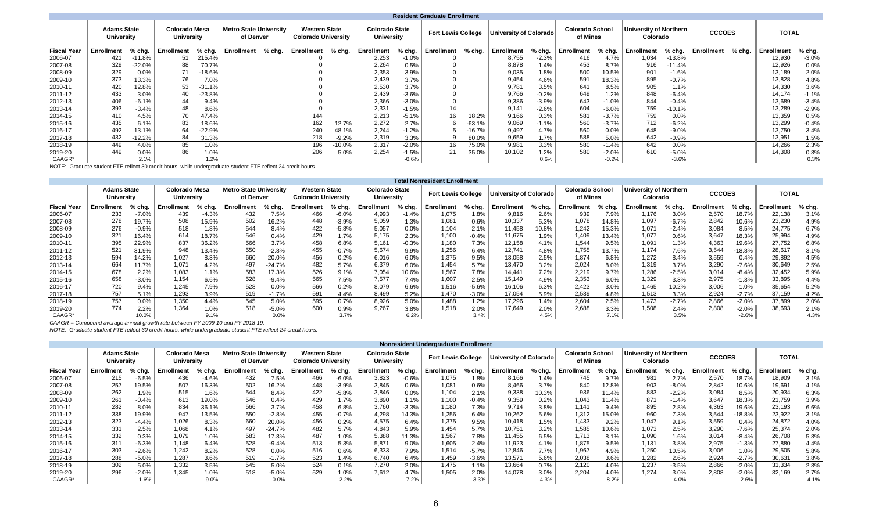|                    |                                                                                      |          |            |          |                                            |        |                                                    |         |                                            |         | <b>Resident Graduate Enrollment</b> |          |                        |         |                                    |         |                                    |          |               |        |                   |         |
|--------------------|--------------------------------------------------------------------------------------|----------|------------|----------|--------------------------------------------|--------|----------------------------------------------------|---------|--------------------------------------------|---------|-------------------------------------|----------|------------------------|---------|------------------------------------|---------|------------------------------------|----------|---------------|--------|-------------------|---------|
|                    | <b>Adams State</b><br><b>Colorado Mesa</b><br><b>University</b><br><b>University</b> |          |            |          | <b>Metro State University</b><br>of Denver |        | <b>Western State</b><br><b>Colorado University</b> |         | <b>Colorado State</b><br><b>University</b> |         | <b>Fort Lewis College</b>           |          | University of Colorado |         | <b>Colorado School</b><br>of Mines |         | University of Northern<br>Colorado |          | <b>CCCOES</b> |        | <b>TOTAL</b>      |         |
| <b>Fiscal Year</b> | <b>Enrollment</b>                                                                    | % chg.   | Enrollment | $%$ chg. | <b>Enrollment</b>                          | % chg. | Enrollment                                         | % chg.  | Enrollment                                 | % chg.  | Enrollment                          | % chg.   | Enrollment             | % chg.  | <b>Enrollment</b>                  | % chg.  | <b>Enrollment</b>                  | % chg.   | Enrollment    | % chg. | <b>Enrollment</b> | % chg.  |
| 2006-07            | 421                                                                                  | $-11.8%$ | 51         | 215.4%   |                                            |        |                                                    |         | 2,253                                      | $-1.0%$ |                                     |          | 8,755                  | $-2.3%$ | 416                                | 4.7%    | 1,034                              | $-13.8%$ |               |        | 12,930            | $-3.0%$ |
| 2007-08            | 329                                                                                  | $-22.0%$ | 88         | 70.7%    |                                            |        |                                                    |         | 2,264                                      | 0.5%    |                                     |          | 8,878                  | 1.4%    | 453                                | 8.7%    | 916                                | $-11.4%$ |               |        | 12,926            | 0.0%    |
| 2008-09            | 329                                                                                  | 0.0%     | 71         | $-18.6%$ |                                            |        |                                                    |         | 2,353                                      | 3.9%    |                                     |          | 9,035                  | 1.8%    | 500                                | 10.5%   | 901                                | $-1.6%$  |               |        | 13,189            | 2.0%    |
| 2009-10            | 373                                                                                  | 13.3%    | 76         | 7.0%     |                                            |        |                                                    |         | 2,439                                      | 3.7%    |                                     |          | 9,454                  | 4.6%    | 591                                | 18.3%   | 895                                | $-0.7%$  |               |        | 13,828            | 4.8%    |
| 2010-11            | 420                                                                                  | 12.8%    | 53         | $-31.1%$ |                                            |        |                                                    |         | 2,530                                      | 3.7%    |                                     |          | 9.781                  | 3.5%    | 641                                | 8.5%    | 905                                | 1.1%     |               |        | 14,330            | 3.6%    |
| 2011-12            | 433                                                                                  | 3.0%     | 40         | $-23.8%$ |                                            |        |                                                    |         | 2,439                                      | $-3.6%$ |                                     |          | 9.766                  | $-0.2%$ | 649                                | 1.2%    | 848                                | $-6.4%$  |               |        | 14,174            | $-1.1%$ |
| 2012-13            | 406                                                                                  | $-6.1%$  | 44         | 9.4%     |                                            |        |                                                    |         | 2,366                                      | $-3.0%$ |                                     |          | 9.386                  | $-3.9%$ | 643                                | $-1.0%$ | 844                                | $-0.4%$  |               |        | 13,689            | $-3.4%$ |
| 2013-14            | 393                                                                                  | $-3.4%$  | 48         | 8.6%     |                                            |        |                                                    |         | 2,331                                      | $-1.5%$ | 14                                  |          | 9.141                  | $-2.6%$ | 604                                | $-6.0%$ | 759                                | $-10.1%$ |               |        | 13,289            | $-2.9%$ |
| 2014-15            | 410                                                                                  | 4.5%     | 70         | 47.4%    |                                            |        | 144                                                |         | 2,213                                      | $-5.1%$ | 16                                  | 18.2%    | 9,166                  | 0.3%    | 581                                | $-3.7%$ | 759                                | 0.0%     |               |        | 13,359            | 0.5%    |
| 2015-16            | 435                                                                                  | 6.1%     | 83         | 18.6%    |                                            |        | 162                                                | 12.7%   | 2,272                                      | 2.7%    |                                     | $-63.1%$ | 9,069                  | $-1.1%$ | 560                                | $-3.7%$ | 712                                | $-6.2%$  |               |        | 13,299            | $-0.4%$ |
| 2016-17            | 492                                                                                  | 13.1%    | 64         | $-22.9%$ |                                            |        | 240                                                | 48.1%   | 2,244                                      | $-1.2%$ |                                     | $-16.7%$ | 9.497                  | 4.7%    | 560                                | 0.0%    | 648                                | $-9.0%$  |               |        | 13.750            | 3.4%    |
| 2017-18            | 432                                                                                  | 12.2%    | 84         | 31.3%    |                                            |        | 218                                                | $-9.2%$ | 2,319                                      | 3.3%    |                                     | 80.0%    | 9,659                  | 1.7%    | 588                                | 5.0%    | 642                                | $-0.9%$  |               |        | 13,951            | 1.5%    |
| 2018-19            | 449                                                                                  | 4.0%     | 85         | 1.0%     |                                            |        | 196                                                | -10.0%  | 2,317                                      | $-2.0%$ | 16                                  | 75.0%    | 9,981                  | 3.3%    | 580                                | $-1.4%$ | 642                                | 0.0%     |               |        | 14,266            | 2.3%    |
| 2019-20            | 449                                                                                  | 0.0%     | 86         | 1.0%     |                                            |        | 206                                                | 5.0%    | 2.254                                      | $-1.5%$ | 21                                  | 35.0%    | 10,102                 | 1.2%    | 580                                | $-2.0%$ | 610                                | $-5.0%$  |               |        | 14,308            | 0.3%    |
| CAAGR*             |                                                                                      | 2.1%     |            | 1.2%     |                                            |        |                                                    |         |                                            | $-0.6%$ |                                     |          |                        | 0.6%    |                                    | $-0.2%$ |                                    | $-3.6%$  |               |        |                   | 0.3%    |

NOTE: Graduate student FTE reflect 30 credit hours, while undergraduate student FTE reflect 24 credit hours.

|                    |                                  |         |                                    |          |                                     |          |                                                    |         |                                            |         | <b>Total Nonresident Enrollment</b> |         |                               |          |                                    |        |                                    |          |                   |          |                   |        |
|--------------------|----------------------------------|---------|------------------------------------|----------|-------------------------------------|----------|----------------------------------------------------|---------|--------------------------------------------|---------|-------------------------------------|---------|-------------------------------|----------|------------------------------------|--------|------------------------------------|----------|-------------------|----------|-------------------|--------|
|                    | <b>Adams State</b><br>University |         | <b>Colorado Mesa</b><br>University |          | Metro State University<br>of Denver |          | <b>Western State</b><br><b>Colorado University</b> |         | <b>Colorado State</b><br><b>University</b> |         | <b>Fort Lewis College</b>           |         | <b>University of Colorado</b> |          | <b>Colorado School</b><br>of Mines |        | University of Northern<br>Colorado |          | <b>CCCOES</b>     |          | TOTAL             |        |
| <b>Fiscal Year</b> | Enrollment                       | % chg.  | Enrollment                         | $%$ chg. | <b>Enrollment</b>                   | $%$ chg. | <b>Enrollment</b>                                  | % chg.  | Enrollment                                 | % chg.  | Enrollment                          | % chg.  | Enrollment                    | $%$ chg. | Enrollment                         | % chg. | Enrollment                         | $%$ chg. | <b>Enrollment</b> | % chg.   | <b>Enrollment</b> | % chg. |
| 2006-07            | 233                              | $-7.0%$ | 439                                | $-4.3%$  | 432                                 | 7.5%     | 466                                                | $-6.0%$ | 4,993                                      | $-1.4%$ | 1,075                               | 1.8%    | 9,816                         | 2.6%     | 939                                | 7.9%   | 1,176                              | 3.0%     | 2,570             | 18.7%    | 22,138            | 3.1%   |
| 2007-08            | 278                              | 19.7%   | 508                                | 15.9%    | 502                                 | 16.2%    | 448                                                | $-3.9%$ | 5,059                                      | 1.3%    | 1,081                               | 0.6%    | 10,337                        | 5.3%     | 1.078                              | 14.8%  | 1,097                              | $-6.7%$  | 2,842             | 10.6%    | 23,230            | 4.9%   |
| 2008-09            | 276                              | $-0.9%$ | 518                                | 1.8%     | 544                                 | 8.4%     | 422                                                | $-5.8%$ | 5,057                                      | 0.0%    | 1,104                               | 2.1%    | 11,458                        | 10.8%    | 1,242                              | 15.3%  | 1,071                              | $-2.4%$  | 3,084             | 8.5%     | 24,775            | 6.7%   |
| 2009-10            | 321                              | 16.4%   | 614                                | 18.7%    | 546                                 | 0.4%     | 429                                                | 1.7%    | 5,175                                      | 2.3%    | 1,100                               | $-0.4%$ | 11,675                        | 1.9%     | 1,409                              | 13.4%  | 1,077                              | 0.6%     | 3,647             | 18.3%    | 25,994            | 4.9%   |
| 2010-11            | 395                              | 22.9%   | 837                                | 36.2%    | 566                                 | 3.7%     | 458                                                | 6.8%    | 5,161                                      | $-0.3%$ | 1,180                               | 7.3%    | 12,158                        | 4.1%     | 1,544                              | 9.5%   | 1,091                              | $1.3\%$  | 4,363             | 19.6%    | 27,752            | 6.8%   |
| 2011-12            | 521                              | 31.9%   | 948                                | 13.4%    | 550                                 | $-2.8%$  | 455                                                | $-0.7%$ | 5,674                                      | 9.9%    | 1,256                               | 6.4%    | 12,741                        | 4.8%     | 1.755                              | 13.7%  | 1,174                              | 7.6%     | 3,544             | $-18.8%$ | 28,617            | 3.1%   |
| 2012-13            | 594                              | 14.2%   | 1.027                              | 8.3%     | 660                                 | 20.0%    | 456                                                | 0.2%    | 6,016                                      | 6.0%    | 1,375                               | 9.5%    | 13,058                        | 2.5%     | 1.874                              | 6.8%   | 1.272                              | 8.4%     | 3,559             | 0.4%     | 29,892            | 4.5%   |
| 2013-14            | 664                              | 11.7%   | 1,071                              | 4.2%     | 497                                 | $-24.7%$ | 482                                                | 5.7%    | 6,379                                      | 6.0%    | 1,454                               | 5.7%    | 13,470                        | 3.2%     | 2.024                              | 8.0%   | 1,319                              | 3.7%     | 3,290             | $-7.6%$  | 30,649            | 2.5%   |
| 2014-15            | 678                              | 2.2%    | 1,083                              | 1.1%     | 583                                 | 17.3%    | 526                                                | 9.1%    | 7,054                                      | 10.6%   | 1,567                               | 7.8%    | 14.441                        | 7.2%     | 2,219                              | 9.7%   | 1,286                              | $-2.5%$  | 3,014             | $-8.4%$  | 32,452            | 5.9%   |
| 2015-16            | 658                              | $-3.0%$ | 1.154                              | 6.6%     | 528                                 | $-9.4%$  | 565                                                | 7.5%    | 7.577                                      | 7.4%    | 1,607                               | 2.5%    | 15,149                        | 4.9%     | 2,353                              | 6.0%   | 1,329                              | 3.3%     | 2,975             | $-1.3%$  | 33,895            | 4.4%   |
| 2016-17            | 720                              | 9.4%    | 1.245                              | 7.9%     | 528                                 | 0.0%     | 566                                                | 0.2%    | 8,079                                      | 6.6%    | 1,516                               | $-5.6%$ | 16,106                        | 6.3%     | 2.423                              | 3.0%   | 1.465                              | 10.2%    | 3,006             | 1.0%     | 35,654            | 5.2%   |
| 2017-18            | 757                              | 5.1%    | ',293                              | 3.9%     | 519                                 | $-1.7%$  | 591                                                | 4.4%    | 8,499                                      | 5.2%    | 1.470                               | $-3.0%$ | 17,054                        | 5.9%     | 2,539                              | 4.8%   | 1,513                              | 3.3%     | 2,924             | $-2.7%$  | 37,159            | 4.2%   |
| 2018-19            | 757                              | 0.0%    | 1,350                              | 4.4%     | 545                                 | 5.0%     | 595                                                | 0.7%    | 8,926                                      | 5.0%    | 1,488                               | 1.2%    | 17,296                        | $1.4\%$  | 2,604                              | 2.5%   | 1,473                              | $-2.7\%$ | 2,866             | $-2.0%$  | 37,899            | 2.0%   |
| 2019-20            | 774                              | 2.2%    | 1.364                              | 1.0%     | 518                                 | $-5.0%$  | 600                                                | 0.9%    | 9.267                                      | 3.8%    | 1,518                               | 2.0%    | 17.649                        | 2.0%     | 2.688                              | 3.3%   | 1.508                              | 2.4%     | 2,808             | $-2.0%$  | 38,693            | 2.1%   |
| CAAGR*             |                                  | 10.0%   |                                    | 9.1%     |                                     | 0.0%     |                                                    | 3.7%    |                                            | 6.2%    |                                     | 3.4%    |                               | 4.5%     |                                    | 7.1%   |                                    | 3.5%     |                   | $-2.6%$  |                   | 4.3%   |
|                    |                                  |         |                                    |          |                                     |          |                                                    |         |                                            |         |                                     |         |                               |          |                                    |        |                                    |          |                   |          |                   |        |

*CAAGR = Compound average annual growth rate between FY 2009-10 and FY 2018-19.*

|                    |                                  |         |            |                                    |                                            |          |                                                    |         |                                     |         | Nonresident Undergraduate Enrollment |         |                               |        |                                    |        |                                           |          |                   |          |                   |        |
|--------------------|----------------------------------|---------|------------|------------------------------------|--------------------------------------------|----------|----------------------------------------------------|---------|-------------------------------------|---------|--------------------------------------|---------|-------------------------------|--------|------------------------------------|--------|-------------------------------------------|----------|-------------------|----------|-------------------|--------|
|                    | <b>Adams State</b><br>University |         |            | Colorado Mesa<br><b>University</b> | <b>Metro State University</b><br>of Denver |          | <b>Western State</b><br><b>Colorado University</b> |         | <b>Colorado State</b><br>University |         | <b>Fort Lewis College</b>            |         | <b>University of Colorado</b> |        | <b>Colorado School</b><br>of Mines |        | <b>University of Northern</b><br>Colorado |          | <b>CCCOES</b>     |          | <b>TOTAL</b>      |        |
| <b>Fiscal Year</b> | <b>Enrollment</b>                | % chg.  | Enrollment | % chg.                             | Enrollment                                 | % chg.   | Enrollment                                         | % chg.  | Enrollment                          | % chg.  | Enrollment                           | % chg.  | <b>Enrollment</b>             | % chg. | Enrollment                         | % chg. | Enrollment                                | % chg.   | <b>Enrollment</b> | % chg.   | <b>Enrollment</b> | % chg. |
| 2006-07            | 215                              | $-6.5%$ | 436        | $-4.6%$                            | 432                                        | 7.5%     | 466                                                | $-6.0%$ | 3,823                               | $-0.6%$ | 1,075                                | 1.8%    | 8,166                         | 1.4%   | 745                                | 9.7%   | 981                                       | 2.7%     | 2,570             | 18.7%    | 18,909            | 3.1%   |
| 2007-08            | 257                              | 19.5%   | 507        | 16.3%                              | 502                                        | 16.2%    | 448                                                | $-3.9%$ | 3,845                               | 0.6%    | 1,081                                | 0.6%    | 8,466                         | 3.7%   | 840                                | 12.8%  | 903                                       | $-8.0\%$ | 2,842             | 10.6%    | 19,691            | 4.1%   |
| 2008-09            | 262                              | 1.9%    | 515        | 1.6%                               | 544                                        | 8.4%     | 422                                                | $-5.8%$ | 3,846                               | 0.0%    | 1,104                                | 2.1%    | 9,338                         | 10.3%  | 936                                | 11.4%  | 883                                       | $-2.2%$  | 3,084             | 8.5%     | 20,934            | 6.3%   |
| 2009-10            | 261                              | $-0.4%$ | 613        | 19.0%                              | 546                                        | 0.4%     | 429                                                | 1.7%    | 3,890                               | 1.1%    | 1,100                                | $-0.4%$ | 9,359                         | 0.2%   | 1.043                              | 11.4%  | 871                                       | $-1.4%$  | 3,647             | 18.3%    | 21,759            | 3.9%   |
| 2010-11            | 282                              | 8.0%    | 834        | 36.1%                              | 566                                        | 3.7%     | 458                                                | 6.8%    | 3.760                               | $-3.3%$ | 1,180                                | 7.3%    | 9.714                         | 3.8%   | 1.141                              | 9.4%   | 895                                       | 2.8%     | 4,363             | 19.6%    | 23,193            | 6.6%   |
| 2011-12            | 338                              | 19.9%   | 947        | 13.5%                              | 550                                        | $-2.8%$  | 455                                                | $-0.7%$ | 4,298                               | 14.3%   | 1,256                                | 6.4%    | 10,262                        | 5.6%   | 1,312                              | 15.0%  | 960                                       | 7.3%     | 3,544             | $-18.8%$ | 23,922            | 3.1%   |
| 2012-13            | 323                              | $-4.4%$ | 1,026      | 8.3%                               | 660                                        | 20.0%    | 456                                                | 0.2%    | 4,575                               | 6.4%    | 1,375                                | 9.5%    | 10,418                        | 1.5%   | 1,433                              | 9.2%   | 1,047                                     | 9.1%     | 3,559             | 0.4%     | 24,872            | 4.0%   |
| 2013-14            | 331                              | 2.5%    | 1,068      | 4.1%                               | 497                                        | $-24.7%$ | 482                                                | 5.7%    | 4,843                               | 5.9%    | 1,454                                | 5.7%    | 10,75'                        | 3.2%   | 1,585                              | 10.6%  | 1,073                                     | 2.5%     | 3,290             | $-7.6%$  | 25,374            | 2.0%   |
| 2014-15            | 332                              | 0.3%    | 1,079      | 1.0%                               | 583                                        | 17.3%    | 487                                                | $1.0\%$ | 5,388                               | 11.3%   | 1,567                                | 7.8%    | 11,455                        | 6.5%   | 1.713                              | 8.1%   | 1,090                                     | 1.6%     | 3,014             | $-8.4%$  | 26,708            | 5.3%   |
| 2015-16            | 311                              | $-6.3%$ | 1,148      | 6.4%                               | 528                                        | $-9.4%$  | 513                                                | 5.3%    | 5,871                               | $9.0\%$ | 1,605                                | 2.4%    | 11,923                        | 4.1%   | 1.875                              | 9.5%   | 131,ا                                     | 3.8%     | 2,975             | $-1.3%$  | 27,880            | 4.4%   |
| 2016-17            | 303                              | $-2.6%$ | 1,242      | 8.2%                               | 528                                        | 0.0%     | 516                                                | 0.6%    | 6,333                               | 7.9%    | 1,514                                | $-5.7%$ | 12,846                        | 7.7%   | 1,967                              | 4.9%   | 1,250                                     | 10.5%    | 3,006             | 1.0%     | 29,505            | 5.8%   |
| 2017-18            | 288                              | $-5.0%$ | 1.287      | 3.6%                               | 519                                        | $-1.7%$  | 523                                                | 1.4%    | 6.740                               | 6.4%    | 1.459                                | $-3.6%$ | 13.571                        | 5.6%   | 2.038                              | 3.6%   | .282                                      | 2.6%     | 2.924             | $-2.7%$  | 30.631            | 3.8%   |
| 2018-19            | 302                              | 5.0%    | 1,332      | 3.5%                               | 545                                        | 5.0%     | 524                                                | 0.1%    | 7,270                               | 2.0%    | 1,475                                | 1.1%    | 13,664                        | 0.7%   | 2,120                              | 4.0%   | 237. ا                                    | $-3.5%$  | 2,866             | $-2.0%$  | 31,334            | 2.3%   |
| 2019-20            | 296                              | $-2.0%$ | 1.345      | 1.0%                               | 518                                        | $-5.0%$  | 529                                                | 1.0%    | 7.612                               | 4.7%    | 1.505                                | 2.0%    | 14.078                        | 3.0%   | 2,204                              | 4.0%   | 1.274                                     | 3.0%     | 2,808             | $-2.0%$  | 32,169            | 2.7%   |
| CAAGR*             |                                  | 1.6%    |            | 9.0%                               |                                            | 0.0%     |                                                    | 2.2%    |                                     | 7.2%    |                                      | 3.3%    |                               | 4.3%   |                                    | 8.2%   |                                           | 4.0%     |                   | $-2.6%$  |                   |        |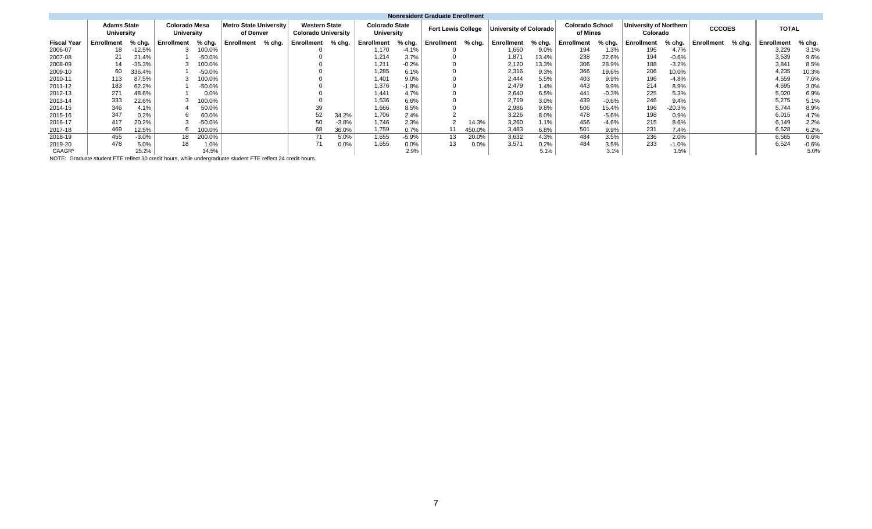|                    |                                         |          |                                    |          |                                            |        |                                                    |         |                                     |         | <b>Nonresident Graduate Enrollment</b> |        |                        |        |                                    |         |                                    |          |               |        |                   |         |
|--------------------|-----------------------------------------|----------|------------------------------------|----------|--------------------------------------------|--------|----------------------------------------------------|---------|-------------------------------------|---------|----------------------------------------|--------|------------------------|--------|------------------------------------|---------|------------------------------------|----------|---------------|--------|-------------------|---------|
|                    | <b>Adams State</b><br><b>University</b> |          | <b>Colorado Mesa</b><br>University |          | <b>Metro State University</b><br>of Denver |        | <b>Western State</b><br><b>Colorado University</b> |         | <b>Colorado State</b><br>University |         | <b>Fort Lewis College</b>              |        | University of Colorado |        | <b>Colorado School</b><br>of Mines |         | University of Northern<br>Colorado |          | <b>CCCOES</b> |        | <b>TOTAL</b>      |         |
| <b>Fiscal Year</b> | Enrollment                              | % chg.   | Enrollment                         | % chg.   | Enrollment                                 | % chg. | Enrollment                                         | % chg.  | Enrollment                          | % chg.  | Enrollment                             | % chg. | <b>Enrollment</b>      | % chg. | <b>Enrollment</b>                  | % chg.  | Enrollment                         | % chg.   | Enrollment    | % chg. | <b>Enrollment</b> | % chg.  |
| 2006-07            | 18                                      | -12.5%   |                                    | 100.0%   |                                            |        |                                                    |         | 1.170                               | $-4.1%$ |                                        |        | 1,650                  | 9.0%   | 194                                | 1.3%    | 195                                | 4.7%     |               |        | 3,229             | 3.1%    |
| 2007-08            | 21                                      | 21.4%    |                                    | $-50.0%$ |                                            |        |                                                    |         | 1,214                               | 3.7%    |                                        |        | 1,87'                  | 13.4%  | 238                                | 22.6%   | 194                                | $-0.6%$  |               |        | 3,539             | 9.6%    |
| 2008-09            | 14                                      | $-35.3%$ |                                    | 100.0%   |                                            |        |                                                    |         | 1,211                               | $-0.2%$ |                                        |        | 2,120                  | 13.3%  | 306                                | 28.9%   | 188                                | $-3.2%$  |               |        | 3,841             | 8.5%    |
| 2009-10            | 60                                      | 336.4%   |                                    | $-50.0%$ |                                            |        |                                                    |         | 1,285                               | 6.1%    |                                        |        | 2,316                  | 9.3%   | 366                                | 19.6%   | 206                                | 10.0%    |               |        | 4,235             | 10.3%   |
| 2010-11            | 113                                     | 87.5%    |                                    | 100.0%   |                                            |        |                                                    |         | 1,401                               | 9.0%    |                                        |        | 2.444                  | 5.5%   | 403                                | 9.9%    | 196                                | $-4.8%$  |               |        | 4,559             | 7.6%    |
| 2011-12            | 183                                     | 62.2%    |                                    | $-50.0%$ |                                            |        |                                                    |         | 1,376                               | $-1.8%$ |                                        |        | 2.479                  | 1.4%   | 443                                | 9.9%    | 214                                | 8.9%     |               |        | 4,695             | 3.0%    |
| 2012-13            | 271                                     | 48.6%    |                                    | 0.0%     |                                            |        |                                                    |         | 1,441                               | 4.7%    |                                        |        | 2,640                  | 6.5%   | 441                                | $-0.3%$ | 225                                | 5.3%     |               |        | 5,020             | 6.9%    |
| 2013-14            | 333                                     | 22.6%    |                                    | 100.0%   |                                            |        |                                                    |         | 1,536                               | 6.6%    |                                        |        | 2,719                  | 3.0%   | 439                                | $-0.6%$ | 246                                | 9.4%     |               |        | 5,275             | 5.1%    |
| 2014-15            | 346                                     | 4.1%     |                                    | 50.0%    |                                            |        | 39                                                 |         | 1,666                               | 8.5%    |                                        |        | 2,986                  | 9.8%   | 506                                | 15.4%   | 196                                | $-20.3%$ |               |        | 5,744             | 8.9%    |
| 2015-16            | 347                                     | 0.2%     |                                    | 60.0%    |                                            |        | 52                                                 | 34.2%   | 1,706                               | 2.4%    |                                        |        | 3.226                  | 8.0%   | 478                                | $-5.6%$ | 198                                | 0.9%     |               |        | 6,015             | 4.7%    |
| 2016-17            | 417                                     | 20.2%    |                                    | $-50.0%$ |                                            |        | 50                                                 | $-3.8%$ | 1,746                               | 2.3%    |                                        | 14.3%  | 3,260                  | 1.1%   | 456                                | $-4.6%$ | 215                                | 8.6%     |               |        | 6,149             | 2.2%    |
| 2017-18            | 469                                     | 12.5%    |                                    | 100.0%   |                                            |        | 68                                                 | 36.0%   | 1,759                               | 0.7%    | 11                                     | 450.0% | 3,483                  | 6.8%   | 501                                | 9.9%    | 231                                | 7.4%     |               |        | 6,528             | 6.2%    |
| 2018-19            | 455                                     | $-3.0%$  | 18                                 | 200.0%   |                                            |        | 71                                                 | 5.0%    | 1,655                               | $-5.9%$ | 13                                     | 20.0%  | 3.632                  | 4.3%   | 484                                | 3.5%    | 236                                | 2.0%     |               |        | 6,565             | 0.6%    |
| 2019-20            | 478                                     | 5.0%     | 18                                 | 1.0%     |                                            |        | 71                                                 | 0.0%    | 1,655                               | 0.0%    | 13                                     | 0.0%   | 3.571                  | 0.2%   | 484                                | 3.5%    | 233                                | $-1.0%$  |               |        | 6.524             | $-0.6%$ |
| CAAGR*             |                                         | 25.2%    |                                    | 34.5%    |                                            |        |                                                    |         |                                     | 2.9%    |                                        |        |                        | 5.1%   |                                    | 3.1%    |                                    | 1.5%     |               |        |                   | 5.0%    |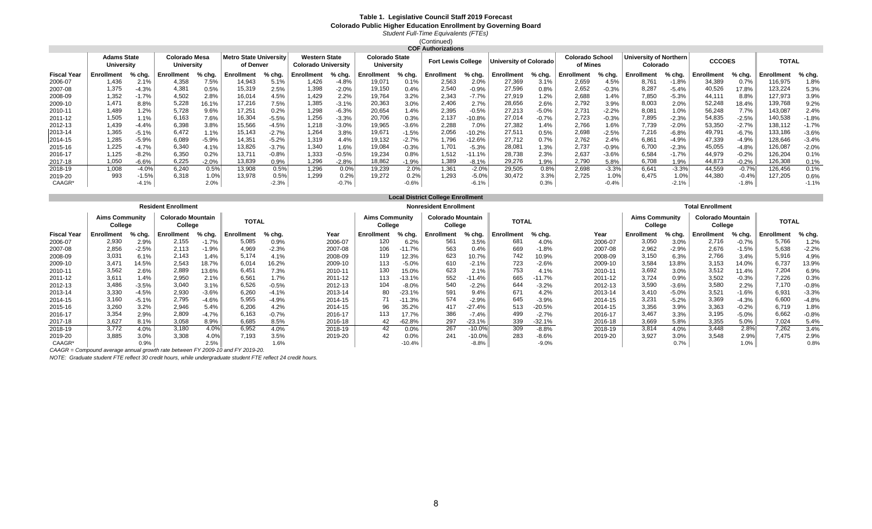#### **Colorado Public Higher Education Enrollment by Governing Board** *Student Full-Time Equivalents (FTEs)* **Table 1. Legislative Council Staff 2019 Forecast**

(Continued)

|                    |                                         |         |                             |         |                                     |         |                                                    |         |                                     |         | <b>COF Authorizations</b> |          |                               |         |                                    |          |                                    |         |               |         |                   |         |
|--------------------|-----------------------------------------|---------|-----------------------------|---------|-------------------------------------|---------|----------------------------------------------------|---------|-------------------------------------|---------|---------------------------|----------|-------------------------------|---------|------------------------------------|----------|------------------------------------|---------|---------------|---------|-------------------|---------|
|                    | <b>Adams State</b><br><b>University</b> |         | Colorado Mesa<br>University |         | Metro State Universitv<br>of Denver |         | <b>Western State</b><br><b>Colorado University</b> |         | <b>Colorado State</b><br>University |         | <b>Fort Lewis College</b> |          | <b>University of Colorado</b> |         | <b>Colorado School</b><br>of Mines |          | University of Northern<br>Colorado |         | <b>CCCOES</b> |         | TOTAL             |         |
| <b>Fiscal Year</b> | Enrollment                              | % chg.  | Enrollment                  | % cha.  | <b>Enrollment</b>                   | % chg.  | <b>Enrollment</b>                                  | % chg.  | Enrollment                          | % cha.  | Enrollment                | % chg.   | Enrollment                    | % cha.  | <b>Enrollment</b>                  | % chg.   | Enrollment                         | % chg.  | Enrollment    | % chg.  | <b>Enrollment</b> | % chg.  |
| 2006-07            | 1,436                                   | 2.1%    | 4,358                       | 7.5%    | 14,943                              | 5.1%    | 426. ا                                             | $-4.8%$ | 19,071                              | 0.1%    | 2,563                     | 2.0%     | 27,369                        | 3.1%    | 2,659                              | 4.5%     | 8.761                              | $-1.8%$ | 34,389        | 0.7%    | 116,975           | 1.8%    |
| 2007-08            | 1,375                                   | $-4.3%$ | 4,381                       | 0.5%    | 15,319                              | 2.5%    | 1,398                                              | $-2.0%$ | 19,150                              | 0.4%    | 2,540                     | $-0.9%$  | 27,596                        | 0.8%    | 2,652                              | $-0.3%$  | 8,287                              | $-5.4%$ | 40,526        | 17.8%   | 123,224           | 5.3%    |
| 2008-09            | 1,352                                   | $-1.7%$ | 4,502                       | 2.8%    | 16,014                              | 4.5%    | 1,429                                              | 2.2%    | 19,764                              | 3.2%    | 2,343                     | $-7.7%$  | 27,919                        | 1.2%    | 2,688                              | 1.4%     | 7,850                              | $-5.3%$ | 44,11'        | 8.8%    | 127,973           | 3.9%    |
| 2009-10            | 1.471                                   | 8.8%    | 5,228                       | 16.1%   | 17,216                              | 7.5%    | 1,385                                              | $-3.1%$ | 20,363                              | 3.0%    | 2,406                     | 2.7%     | 28,656                        | 2.6%    | 2,792                              | 3.9%     | 8,003                              | 2.0%    | 52,248        | 18.4%   | 139,768           | 9.2%    |
| 2010-11            | 1,489                                   | 1.2%    | 5,728                       | 9.6%    | 17,251                              | 0.2%    | 1,298                                              | $-6.3%$ | 20,654                              | 1.4%    | 2,395                     | $-0.5%$  | 27,213                        | $-5.0%$ | 2,731                              | $-2.2%$  | 8,081                              | 1.0%    | 56,248        | 7.7%    | 143,087           | 2.4%    |
| 2011-12            | 1,505                                   | 1.1%    | 6,163                       | 7.6%    | 16,304                              | $-5.5%$ | 1,256                                              | $-3.3%$ | 20,706                              | 0.3%    | 2,137                     | $-10.8%$ | 27,014                        | $-0.7%$ | 2,723                              | $-0.3%$  | 7,895                              | $-2.3%$ | 54,835        | $-2.5%$ | 140,538           | $-1.8%$ |
| 2012-13            | 1,439                                   | $-4.4%$ | 6,398                       | 3.8%    | 15,566                              | $-4.5%$ | 1,218                                              | $-3.0%$ | 19,965                              | $-3.6%$ | 2,288                     | 7.0%     | 27,382                        | 1.4%    | 2,766                              | 1.6%     | 7,739                              | $-2.0%$ | 53,350        | $-2.7%$ | 138,112           | $-1.7%$ |
| 2013-14            | 1,365                                   | $-5.1%$ | 6,472                       | 1.1%    | 15,143                              | $-2.7%$ | 1.264                                              | 3.8%    | 19,671                              | $-1.5%$ | 2,056                     | $-10.2%$ | 27,511                        | 0.5%    | 2,698                              | $-2.5%$  | 7,216                              | $-6.8%$ | 49,791        | $-6.7%$ | 133,186           | $-3.6%$ |
| 2014-15            | 1,285                                   | $-5.9%$ | 6,089                       | $-5.9%$ | 14,351                              | $-5.2%$ | 1,319                                              | 4.4%    | 19,132                              | $-2.7%$ | 1,796                     | $-12.6%$ | 27,712                        | 0.7%    | 2,762                              | 2.4%     | 6,861                              | $-4.9%$ | 47,339        | $-4.9%$ | 128,646           | $-3.4%$ |
| 2015-16            | 1,225                                   | $-4.7%$ | 6,340                       | 4.1%    | 13,826                              | $-3.7%$ | 1.340                                              | 1.6%    | 19,084                              | $-0.3%$ | 1,701                     | $-5.3%$  | 28,08'                        | 1.3%    | 2,737                              | $-0.9\%$ | 6,700                              | $-2.3%$ | 45,055        | $-4.8%$ | 126,087           | $-2.0%$ |
| 2016-17            | 1,125                                   | $-8.2%$ | 6,350                       | 0.2%    | 13,71                               | $-0.8%$ | 1.333                                              | $-0.5%$ | 19,234                              | 0.8%    | 1,512                     | $-11.1%$ | 28,738                        | 2.3%    | 2,637                              | $-3.6%$  | 6,584                              | $-1.7%$ | 44,979        | $-0.2%$ | 126,204           | 0.1%    |
| 2017-18            | 1,050                                   | $-6.6%$ | 6,225                       | $-2.0%$ | 13,839                              | 0.9%    | <b>296.</b>                                        | $-2.8%$ | 18,862                              | $-1.9%$ | 1,389                     | $-8.1%$  | 29,276                        | 1.9%    | 2,790                              | 5.8%     | 6.708                              | .9%     | 44,873        | $-0.2%$ | 126,308           | 0.1%    |
| 2018-19            | 1,008                                   | $-4.0%$ | 6,240                       | 0.5%    | 13,908                              | 0.5%    | 1,296                                              | 0.0%    | 19,239                              | 2.0%    | 1,361                     | $-2.0%$  | 29,505                        | 0.8%    | 2,698                              | $-3.3%$  | 6,641                              | $-3.3%$ | 44,559        | $-0.7%$ | 126,456           | 0.1%    |
| 2019-20            | 993                                     | $-1.5%$ | 6,318                       | $1.0\%$ | 13,978                              | 0.5%    | 1.299                                              | 0.2%    | 19,272                              | 0.2%    | 1,293                     | $-5.0%$  | 30,472                        | 3.3%    | 2,725                              | 1.0%     | 6,475                              | 1.0%    | 44,380        | $-0.4%$ | 127,205           | 0.6%    |
| CAAGR*             |                                         | $-4.1%$ |                             | 2.0%    |                                     | $-2.3%$ |                                                    | $-0.7%$ |                                     | $-0.6%$ |                           | $-6.1%$  |                               | 0.3%    |                                    | $-0.4%$  |                                    | $-2.1%$ |               | $-1.8%$ |                   | $-1.1%$ |

|                    |                                  |         |                                     |          |                   |         |         |                                  |          | <b>Local District College Enrollment</b> |          |                   |          |         |                                  |         |                                     |          |                   |          |
|--------------------|----------------------------------|---------|-------------------------------------|----------|-------------------|---------|---------|----------------------------------|----------|------------------------------------------|----------|-------------------|----------|---------|----------------------------------|---------|-------------------------------------|----------|-------------------|----------|
|                    |                                  |         | <b>Resident Enrollment</b>          |          |                   |         |         |                                  |          | <b>Nonresident Enrollment</b>            |          |                   |          |         |                                  |         | <b>Total Enrollment</b>             |          |                   |          |
|                    | <b>Aims Community</b><br>College |         | <b>Colorado Mountain</b><br>College |          | <b>TOTAL</b>      |         |         | <b>Aims Community</b><br>College |          | <b>Colorado Mountain</b><br>College      |          | <b>TOTAL</b>      |          |         | <b>Aims Community</b><br>College |         | <b>Colorado Mountain</b><br>College |          | <b>TOTAL</b>      |          |
| <b>Fiscal Year</b> | <b>Enrollment</b>                | % chg.  | <b>Enrollment</b>                   | $%$ chg. | <b>Enrollment</b> | % chg.  | Year    | Enrollment                       | $%$ chg. | <b>Enrollment</b>                        | % chg.   | <b>Enrollment</b> | % chg.   | Year    | <b>Enrollment</b>                | % chg.  | Enrollment                          | $%$ chg. | <b>Enrollment</b> | $%$ chg. |
| 2006-07            | 2,930                            | 2.9%    | 2,155                               | $-1.7%$  | 5,085             | 0.9%    | 2006-07 | 120                              | 6.2%     | 561                                      | 3.5%     | 681               | 4.0%     | 2006-07 | 3.050                            | 3.0%    | 2,716                               | $-0.7%$  | 5.766             | 1.2%     |
| 2007-08            | 2,856                            | $-2.5%$ | 2,113                               | $-1.9%$  | 4,969             | $-2.3%$ | 2007-08 | 106                              | $-11.7%$ | 563                                      | 0.4%     | 669               | $-1.8%$  | 2007-08 | 2,962                            | $-2.9%$ | 2,676                               | $-1.5%$  | 5,638             | $-2.2%$  |
| 2008-09            | 3,031                            | 6.1%    | 2.143                               | 1.4%     | 5.174             | 4.1%    | 2008-09 | 119                              | 12.3%    | 623                                      | 10.7%    | 742               | 10.9%    | 2008-09 | 3,150                            | 6.3%    | 2,766                               | 3.4%     | 5,916             | 4.9%     |
| 2009-10            | 3.471                            | 14.5%   | 2,543                               | 18.7%    | 6.014             | 16.2%   | 2009-10 | 113                              | $-5.0%$  | 610                                      | $-2.1%$  | 723               | $-2.6%$  | 2009-10 | 3,584                            | 13.8%   | 3,153                               | 14.0%    | 6,737             | 13.9%    |
| 2010-11            | 3,562                            | 2.6%    | 2,889                               | 13.6%    | 6.451             | 7.3%    | 2010-11 | 130                              | 15.0%    | 623                                      | 2.1%     | 753               | 4.1%     | 2010-11 | 3,692                            | 3.0%    | 3,512                               | 11.4%    | 7,204             | 6.9%     |
| 2011-12            | 3,611                            | 1.4%    | 2,950                               | 2.1%     | 6,561             | 1.7%    | 2011-12 | 113                              | 13.1%    | 552                                      | -11.4%   | 665               | $-11.7%$ | 2011-12 | 3,724                            | 0.9%    | 3,502                               | $-0.3%$  | 7,226             | 0.3%     |
| 2012-13            | 3,486                            | $-3.5%$ | 3,040                               | 3.1%     | 6,526             | $-0.5%$ | 2012-13 | 104                              | $-8.0%$  | 540                                      | $-2.2%$  | 644               | $-3.2%$  | 2012-13 | 3,590                            | $-3.6%$ | 3,580                               | 2.2%     | 7,170             | $-0.8%$  |
| 2013-14            | 3,330                            | $-4.5%$ | 2,930                               | $-3.6%$  | 6.260             | $-4.1%$ | 2013-14 | 80                               | $-23.1%$ | 591                                      | $9.4\%$  | 671               | 4.2%     | 2013-14 | 3,410                            | $-5.0%$ | 3,521                               | $-1.6%$  | 6,931             | $-3.3%$  |
| 2014-15            | 3,160                            | $-5.1%$ | 2,795                               | $-4.6%$  | 5,955             | $-4.9%$ | 2014-15 |                                  | $-11.3%$ | 574                                      | $-2.9%$  | 645               | $-3.9%$  | 2014-15 | 3,231                            | $-5.2%$ | 3,369                               | $-4.3%$  | 6,600             | $-4.8%$  |
| 2015-16            | 3,260                            | 3.2%    | 2,946                               | 5.4%     | 6.206             | 4.2%    | 2014-15 | 96                               | 35.2%    | 417                                      | $-27.4%$ | 513               | $-20.5%$ | 2014-15 | 3,356                            | 3.9%    | 3,363                               | $-0.2%$  | 6,719             | 1.8%     |
| 2016-17            | 3,354                            | 2.9%    | 2,809                               | $-4.7%$  | 6,163             | $-0.7%$ | 2016-17 | 113                              | 17.7%    | 386                                      | $-7.4%$  | 499               | $-2.7%$  | 2016-17 | 3,467                            | 3.3%    | 3,195                               | $-5.0%$  | 6,662             | $-0.8%$  |
| 2017-18            | 3,627                            | 8.1%    | 3,058                               | 8.9%     | 6,685             | 8.5%    | 2016-18 | 42                               | $-62.8%$ | 297                                      | $-23.1%$ | 339               | $-32.1%$ | 2016-18 | 3,669                            | 5.8%    | 3,355                               | 5.0%     | 7,024             | 5.4%     |
| 2018-19            | 3.772                            | 4.0%    | 3,180                               | 4.0%     | 6.952             | 4.0%    | 2018-19 | 42                               | $0.0\%$  | 267                                      | $-10.0%$ | 309               | $-8.8%$  | 2018-19 | 3,814                            | 4.0%    | 3,448                               | 2.8%     | 7,262             | 3.4%     |
| 2019-20            | 3,885                            | 3.0%    | 3.308                               | 4.0%     | 7.193             | 3.5%    | 2019-20 | 42                               | 0.0%     | 241                                      | $-10.0%$ | 283               | $-8.6%$  | 2019-20 | 3.927                            | 3.0%    | 3,548                               | 2.9%     | 7.475             | 2.9%     |
| CAAGR*             |                                  | 0.9%    |                                     | 2.5%     |                   | 1.6%    |         |                                  | $-10.4%$ |                                          | $-8.8%$  |                   | $-9.0%$  |         |                                  | 0.7%    |                                     | 1.0%     |                   | 0.8%     |

*CAAGR = Compound average annual growth rate between FY 2009-10 and FY 2019-20.*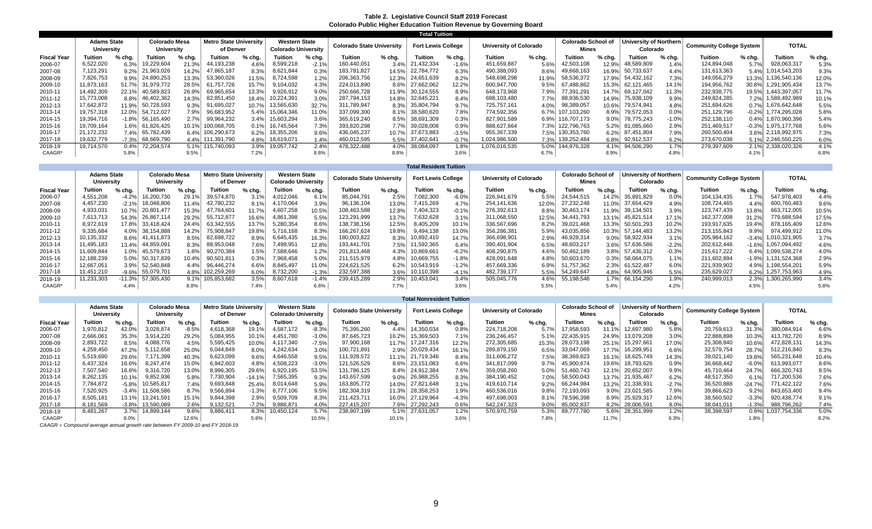#### **Table 2. Legislative Council Staff 2019 Forecast Colorado Public Higher Education Tuition Revenue by Governing Board**

|                    |                                  |         |                             |        |                                            |        |                                                    |         |                                  |        | <b>Total Tuition</b>      |         |                        |              |                                           |          |                                    |          |                                 |         |                    |          |
|--------------------|----------------------------------|---------|-----------------------------|--------|--------------------------------------------|--------|----------------------------------------------------|---------|----------------------------------|--------|---------------------------|---------|------------------------|--------------|-------------------------------------------|----------|------------------------------------|----------|---------------------------------|---------|--------------------|----------|
|                    | <b>Adams State</b><br>University |         | Colorado Mesa<br>University |        | <b>Metro State University</b><br>of Denver |        | <b>Western State</b><br><b>Colorado University</b> |         | <b>Colorado State University</b> |        | <b>Fort Lewis College</b> |         | University of Colorado |              | <b>Colorado School of</b><br><b>Mines</b> |          | University of Northern<br>Colorado |          | <b>Community College System</b> |         | <b>TOTAL</b>       |          |
| <b>Fiscal Year</b> | Tuition                          | % cha   | Tuition                     | % chg. | <b>Tuition</b>                             | % cha. | <b>Tuition</b>                                     | % chg.  | Tuition                          | % cha. | <b>Tuition</b>            | % chg.  | Tuition                | % chg.       | <b>Tuition</b>                            | $%$ chg. | <b>Tuition</b>                     | $%$ chg. | Tuition                         | % chg.  | <b>Tuition</b>     | $%$ chg. |
| 2006-07            | 6,522,020                        | 6.3%    | ,229,604                    | 21.3%  | 44,193,238                                 | 4.6%   | 8,599,218                                          | $-2.1%$ | 60.440.051                       | 3.4%   | 21,432,334                | $-1.6%$ | 451,659,887            | 5.6%         | 42,503,108                                | 12.9%    | 48,589,809                         | 1.4%     | 124,894,048                     | 5.7%    | 928,063,317        | 5.3%     |
| 2007-08            | 7,123,291                        | 9.2%    | 21,963,026                  | 14.2%  | 865,187                                    | 8.3%   | 8,621,844                                          | 0.3%    | 183,781,827                      | 14.5%  | 22.784.772                | 6.3%    | 490,388,093            | 8.6%         | 49,668,163                                | 16.9%    | 50,733,637                         | 4.4%     | 131,613,363                     | 5.4%    | 014,543,203        | 9.3%     |
| 2008-09            | 7,826,753                        | 9.9%    | 24,890,253                  | 13.3%  | 53,360,026                                 | 11.5%  | 8,724,598                                          | 1.2%    | 206,363,756                      | 12.3%  | 24,651,639                | 8.2%    | 548,698,298            | 11.9%        | 58,536,372                                | 17.9%    | 54,432,162                         | 7.3%     | 149,056,279                     | 13.3%   | 1,136,540,136      | 12.0%    |
| 2009-10            | 11,873,163                       | 51.7%   | 31,979,772                  | 28.5%  | .757.726                                   | 15.7%  | ,104,032                                           | 4.3%    | 224,013,890                      | 8.6%   | 27,662,062                | 12.2%   | 600,947,700            | 9.5%         | 67,488,862                                | 15.3%    | 62.121.465                         | 14.1%    | 194,956,762                     | 30.8%   | 1,291,905,434      | 13.7%    |
| 2010-11            | 14,492,309                       | 22.1%   | 40,589,823                  | 26.9%  | 69,965,654                                 | 13.3%  | 9,926,912                                          | 9.0%    | 250,666,728                      | 11.9%  | 30,124,555                | 8.9%    | 648,173,968            | 7.9%         | 77,391,291                                | 14.7%    | 69,127,042                         | 11.3%    | 232,938,775                     | 19.5%   | 1,443,397,057      | 11.7%    |
| 2011-12            | 15.773.008                       | 8.8%    | 46,402,362                  | 14.3%  | 82.851.450                                 | 18.4%  | 0,224,39                                           | 3.0%    | 287.794.153                      | 14.8%  | 32.645.221                | 8.4%    | 698,103,480            | 7.7%         | 88,936,530                                | 14.9%    | 75,938,109                         | 9.9%     | 249,824,285                     | 7.2%    | 1,588,492,989      | 10.1%    |
| 2012-13            | 17.642.872                       | 11.9%   | 50,728,593                  | 9.3%   | 1.695.027                                  | 10.7%  | 13,565,630                                         | 32.7%   | 311,789,947                      | 8.3%   | 35.804.794                | 9.7%    | 725.757.161            | 4.0%         | 98,389,057                                | 10.6%    | 79.574.941                         | 4.8%     | 251,694,626                     | 0.7%    | 1.676.642.648      | 5.5%     |
| 2013-14            | 19.757.318                       | 12.0%   | 54,712,027                  | 7.9%   | 96,683,952                                 | 5.4%   | 15,064,346                                         | 11.0%   | 337,099,300                      |        | 8.1% 38,580,620           | 7.8%    | 774,592,356            | $6.7\%$ 107. | 103,260                                   | 8.9%     | 79,572,053                         | 0.0%     | 251,129,796                     | $-0.2%$ | 1.774.295.028      | 5.8%     |
| 2014-15            | 19,394,716                       | $-1.8%$ | 56,165,490                  | 2.7%   | 99.964.232                                 | 3.4%   | 15,603,294                                         | 3.6%    | 365,619,240                      | 8.5%   | 38,691,309                | 0.3%    | 827,901,589            |              | 6.9% 116,707,173                          | 9.0%     | 78.775.243                         | $-1.0%$  | 252,138,110                     | 0.4%    | 1,870,960,396      | 5.4%     |
| 2015-16            | 19,709,164                       | 1.6%    | 61,826,425                  | 10.1%  | 100.068.705                                | 0.1%   | 16,745,564                                         | 7.3%    | 393,820,298                      | 7.7%   | 39.028.008                | 0.9%    | 888,627,664            | 7.3%         | 122.796.763                               | 5.2%     | 81.085.660                         | 2.9%     | 251,469,517                     | $-0.3%$ | 1.975.177.768      | 5.6%     |
| 2016-17            | 21.172.232                       | 7.4%    | 65,782,439                  | 6.4%   | 106.290.673                                | 6.2%   | 18,355,206                                         | 9.6%    | 436.045.237                      | 10.7%  | 37.673.883                | $-3.5%$ | 955,367,339            |              | 7.5% 130,353,760                          | 6.2%     | 87.451.804                         | 7.9%     | 260,500,404                     | $3.6\%$ | 2.118.992.975      | 7.3%     |
| 2017-18            | 19,632,779                       | $-7.3%$ | 68,669,790                  | 4.4%   | 111.391.790                                | 4.8%   | 18,619,071                                         | 1.4%    | 460,012,595                      |        | 5.5% 37,402,641           | $-0.7%$ | 1.024.986.500          |              | 7.3% 139,252,484                          | 6.8%     | 92,912,537                         | 6.2%     | 273,670,038                     |         | 5.1% 2.246,550,225 | 6.0%     |
| 2018-19            | 19.714.570                       | 0.4%    | 72.204.574                  | 5.1%   | 115.740.093                                | 3.9%   | 19.057.742                                         | 2.4%    | 478.322.488                      | 4.0%   | 38.084.097                | 1.8%    | 1,076,016,535          | 5.0%         | 144.976.328                               | 4.1%     | 94.506.290                         | 1.7%     | 279,397,609                     | 2.1%    | 2.338.020.326      | 4.1%     |
| CAAGR*             |                                  | 5.8%    |                             | 9.5%   |                                            | 7.2%   |                                                    | 8.6%    |                                  | 8.8%   |                           | 3.6%    |                        | 6.7%         |                                           | 8.9%     |                                    | 4.8%     |                                 | 4.1%    |                    | 6.8%     |

|                    |                                  |          |                             |        |                                            |          |                                                    |         |                           |         | <b>Total Resident Tuition</b> |          |                               |        |                                    |         |                                    |         |                                 |            |               |        |
|--------------------|----------------------------------|----------|-----------------------------|--------|--------------------------------------------|----------|----------------------------------------------------|---------|---------------------------|---------|-------------------------------|----------|-------------------------------|--------|------------------------------------|---------|------------------------------------|---------|---------------------------------|------------|---------------|--------|
|                    | <b>Adams State</b><br>University |          | Colorado Mesa<br>University |        | <b>Metro State University</b><br>of Denver |          | <b>Western State</b><br><b>Colorado University</b> |         | Colorado State University |         | <b>Fort Lewis College</b>     |          | <b>University of Colorado</b> |        | <b>Colorado School of</b><br>Mines |         | University of Northern<br>Colorado |         | <b>Community College System</b> |            | <b>TOTAL</b>  |        |
| <b>Fiscal Year</b> | uition                           | % chg.   | <b>Tuition</b>              | % chg. | Tuition                                    | $%$ chg. | Tuition                                            | % chg.  | Tuition                   | % chg.  | Tuition                       | $%$ chg. | Tuition                       | % chg. | <b>Tuition</b>                     | % chg.  | Tuition                            | % chg.  | Tuition                         | % chg.     | Tuition       | % chg. |
| 2006-07            | 4.551.208                        | $-4.2%$  | 16,200,730                  | 29.1%  | 39.574.870                                 | 3.1%     | 1,012,046                                          | 6.1%    | 85,044,791                | 2.5%    | 082,300                       | $-6.0%$  | 226,941,679                   | 5.5%   | 24,544,515                         | 14.2%   | 35,891,829                         | 0.0%    | 104,134,435                     | 1.7%       | 547,978,403   | 4.4%   |
| 2007-08            | 4.457.230                        | $-2.1%$  | 18,048,806                  | 11.4%  | 42.780.232                                 | 8.1%     | ,170,064                                           | 3.9%    | 96.136.104                | 13.0%   | ,415,269                      | 4.7%     | 254,141,636                   | 12.0%  | 27.232.248                         | 11.0%   | 37.654.429                         | 4.9%    | 108.724.465                     | 4.4%       | 600.760.483   | 9.6%   |
| 2008-09            | 4.933.031                        | 10.7%    | 20.801.477                  | 15.3%  | 47.764.601                                 | 11.7%    | 4,607,258                                          | 10.5%   | 108,463,588               | 12.8%   | 404.323                       | $-0.1%$  | 276.392.613                   | 8.8%   | 30.463.174                         | 11.9%   | 39.134.50                          | 3.9%    | 123.747.439                     | 13.8%      | 663.712.005   | 10.5%  |
| 2009-10            | 7,613,713                        | 54.3%    | 26,867,114                  | 29.2%  | 55,712,877                                 | 16.6%    | 4,861,398                                          | 5.5%    | 123,291,999               | 13.7%   | 632,628                       | 3.1%     | 311,068,550                   | 12.5%  | 34.441.793                         | 13.1%   | 45.821.514                         | 17.1%   | 162,377,008                     | 31.2%      | 779,688,594   | 7.5%   |
| 2010-11            | 8,972,619                        | 17.8%    | 33,418,424                  | 24.4%  | 63.342.555                                 | 13.7%    | 5,280,354                                          | 8.6%    | 138,738,156               | 12.5%   | 8,405,209                     | 10.1%    | 336,567,696                   | 8.2%   | 39.021.468                         | 13.3%   | 50.501.293                         | 10.2%   | 193,917,635                     | 19.4%      | 878.165.409   | 12.6%  |
| 2011-12            | 9,335,684                        | 4.0%     | 38,154,888                  | 14.2%  | 75,908,847                                 | 19.8%    | 5,716,168                                          | 8.3%    | 166,267,624               | 19.8%   | 9,494,138                     | 13.0%    | 356,286,381                   | 5.9%   | 43,035,856                         | 0.3%    | 57.144.483                         | 13.2%   | 213,155,843                     | 9.9%       | 974,499,912   | 1.0%   |
| 2012-13            | 10,135,332                       | 8.6%     | 41,411,873                  | 8.5%   | 82,698,722                                 | 8.9%     | 6,645,435                                          | 16.3%   | 180,003,822               | 8.3%    | 0,892,410                     | 14.7%    | 366,698,901                   | 2.9%   | 46,928,314                         | $9.0\%$ | 58,922,934                         | 3.1%    | 205,984,162                     | $-3.4%$    | 1.010.321.905 | 3.7%   |
| 2013-14            | 11,495,183                       | 13.4%    | 44,859,091                  | 8.3%   | 88,953,048                                 | 7.6%     | 498,951                                            | 12.8%   | 193.441.701               | 7.5%    | 1,592,365                     | 6.4%     | 390,401,904                   | 6.5%   | 48,603,217                         | 3.6%    | 57,636,586                         | $-2.2%$ | 202,612,446                     | $-1.6\%$ 1 | 1,057,094,492 | 4.6%   |
| 2014-15            | 11,609,844                       | 1.0%     | 45,579,673                  | 1.6%   | 90.270.384                                 | 1.5%     | 588,646                                            | 1.2%    | 201.813.468               | 4.3%    | 10,869,661                    | $-6.2%$  | 408,290,875                   | 4.6%   | 50,462,189                         |         | 3.8% 57,436,312                    | $-0.3%$ | 215.617.222                     | 6.4%       | 099,538,274   | 4.0%   |
| 2015-16            | 12.188.239                       | 5.0%     | 50,317,839                  | 10.4%  | 90.501.811                                 | 0.3%     | ,968,458                                           | 5.0%    | 211.515.979               | 4.8%    | 10.669.755                    | $-1.8%$  | 428.091.648                   | 4.8%   | 50.603.670                         |         | 0.3% 58,064,075                    | 1.1%    | 211.602.894                     | $-1.9%$    | 1.131.524.368 | 2.9%   |
| 2016-17            | 12.667.051                       | 3.9%     | 52,540,848                  | 4.4%   | 96.446.274                                 | 6.6%     | 8,845,497                                          | 11.0%   | 224.621.525               | 6.2%    | 10.543.919                    | $-1.2%$  | 457,669,336                   | 6.9%   | .757.362                           | 2.3%    | 61.522.487                         | 6.0%    | 221,939,902                     | 4.9%       | .198.554.201  | 5.9%   |
| 2017-18            | 11,451,210                       | $-9.6%$  | 55,079,70                   | 4.8%   | 102,259,269                                | 6.0%     | 8,732,200                                          | $-1.3%$ | 232,597,388               | $3.6\%$ | 10,110,398                    | $-4.1%$  | 482,739,177                   | 5.5%   | 54,249,647                         |         | 4.8% 64,905,946                    | 5.5%    | 235,629,027                     | $6.2\%$    | 1,257,753,963 | 4.9%   |
| 2018-19            | 11.233.303                       | $-11.3%$ | 57.305.430                  | 9.1%   | 105.853.682                                | 3.5%     | 8,607,618                                          | $-1.4%$ | 239.415.289               | 2.9%    | 10.453.041                    | 3.4%     | 505,045,776                   | 4.6%   | 55.198.548                         |         | 1.7% 66.154.290                    | 1.9%    | 240,999,013                     | 2.3%       | 1.300.265.990 | 3.4%   |
| CAAGR*             |                                  | 4.4%     |                             | 8.8%   |                                            | 7.4%     |                                                    | 6.6%    |                           | 7.7%    |                               | 3.6%     |                               | 5.5%   |                                    | 5.4%    |                                    | 4.2%    |                                 | 4.5%       |               | 5.8%   |

|                    |                                         |         |                             |         |                                            |          |                                                    |         |                                  |        | <b>Total Nonresident Tuition</b> |         |                        |        |                                           |          |                                    |         |                                 |          |               |          |
|--------------------|-----------------------------------------|---------|-----------------------------|---------|--------------------------------------------|----------|----------------------------------------------------|---------|----------------------------------|--------|----------------------------------|---------|------------------------|--------|-------------------------------------------|----------|------------------------------------|---------|---------------------------------|----------|---------------|----------|
|                    | <b>Adams State</b><br><b>University</b> |         | Colorado Mesa<br>University |         | <b>Metro State University</b><br>of Denver |          | <b>Western State</b><br><b>Colorado University</b> |         | <b>Colorado State University</b> |        | <b>Fort Lewis College</b>        |         | University of Colorado |        | <b>Colorado School of</b><br><b>Mines</b> |          | University of Northern<br>Colorado |         | <b>Community College System</b> |          | <b>TOTAL</b>  |          |
| <b>Fiscal Year</b> | Tuition                                 | % chg.  | <b>Tuition</b>              | % chg.  | Tuition                                    | % chg.   | <b>Tuition</b>                                     | % chg.  | Tuition                          | % chg. | <b>Tuition</b>                   | % chg.  | <b>Tuition</b>         | % chg. | Tuition                                   | $%$ chg. | Tuition                            | % chg.  | Tuition                         | $%$ chg. | Tuition       | $%$ chg. |
| 2006-07            | 1,970,812                               | 42.0%   | ,028,874                    | $-8.5%$ | 1,618,368                                  | 19.1%    | 4.587.172                                          | $-8.3%$ | 75,395,260                       | 4.4%   | 4,350,034                        | 0.8%    | 224,718,208            | 5.7%   | 7,958,593                                 |          | 12,697,980                         | 5.8%    | 20,759,613                      | 31.3%    | 380,084,914   | 6.6%     |
| 2007-08            | 2.666.061                               | 35.3%   | 3.914.220                   | 29.2%   | .084.955                                   | 10.1%    | 4.451.780                                          | $-3.0%$ | 87.645.723                       | 16.2%  | 5,369,503                        | 7.1%    | 236.246.457            | 5.1%   | 22.435.915                                | 24.9'    | 13.079.208                         | 3.0%    | 22,888,898                      | 10.3%    | 413,782,720   | 8.9%     |
| 2008-09            | 2.893.722                               | 8.5%    | ,088,776                    | 4.5%    | 5,595,425                                  | 10.0%    | .117.340                                           | $-7.5%$ | 97,900,168                       | 11.7%  | 7.247.316                        | 12.2%   | 272,305,685            | 15.3%  | 28.073.198                                | 25.1%    | 15.297.661                         | 17.0%   | 25,308,840                      | 10.6%    | 472,828,131   | 14.3%    |
| 2009-10            | 4.259.450                               | 47.2%   | ,112,658                    | 25.0%   | .044.849                                   | 8.0%     | 4.242.634                                          | 3.0%    | 100,721,891                      | 2.9%   | 20,029,434                       | 16.1%   | 289,879,150            |        | 33.047.069                                |          | 16,299,951                         | 6.6%    | 32,579,754                      | 28.7%    | 512.216.840   | 8.3%     |
| 2010-11            | 5.519.690                               | 29.6%   | 171.399                     | 40.3%   | .623.099                                   | 9.6%     | 4,646,558                                          | 9.5%    | 111.928.572                      | 11.1%  | 21.719.346                       | 8.4%    | 311.606.272            | 7.5%   | 38.369.823                                | 16.1%    | 18.625.749                         | 14.3%   | 39,021,140                      | 19.8%    | 565.231.648   | 10.4%    |
| 2011-12            | 6.437.324                               | 16.6%   | 8.247.474                   | 15.0%   | 6,942,603                                  | 4.8%     | 4,508,223                                          | $-3.0%$ | 121,526,529                      | 8.6%   | 23.151.083                       | 6.6%    | 341,817,099            | 9.7%   | 45.900.674                                | 19.6%    | 18.793.626                         | 0.9%    | 36,668,442                      | $-6.0%$  | 613,993,077   | 8.6%     |
| 2012-13            | 7.507.540                               | 16.6%   | 9,316,720                   | 13.0%   | 8,996,305                                  | 29.6%    | 6,920,195                                          | 53.5%   | 131,786,125                      | 8.4%   | 24,912,384                       | 7.6%    | 359,058,260            | 5.0%   | 51.460.743                                | 12.1%    | 20,652,007                         | 9.9%    | 45,710,464                      | 24.7%    | 666,320,743   | 8.5%     |
| 2013-14            | 8.262.135                               | 10.1%   | 9,852,936                   | 5.8%    | .730.904                                   | $-14.19$ | .565,395                                           | 9.3%    | 143.657.599                      | 9.0%   | 26.988.255                       | 8.3%    | 384,190,452            | 7.0%   | 58.500.043                                | 13.7%    | 21.935.467                         | 6.2%    | 48,517,350                      | 6.1%     | 717,200,536   | 7.6%     |
| 2014-15            | 7.784.872                               | $-5.8%$ | 0,585,817                   | 7.4%    | .693.848                                   | 25.4%    | 8.014.648                                          | 5.9%    | 163,805,772                      | 14.0%  | 27.821.648                       | 3.1%    | 419,610,714            | 9.2%   | 66.244.984                                | 13.2%    | 21.338.931                         | $-2.7%$ | 36,520,888                      | $-24.7%$ | 771.422.122   | 7.6%     |
| 2015-16            | 7.520.925                               | $-3.4%$ | 1,508,586                   | 8.7%    | .566.894                                   | $-1.3%$  | 8.777.106                                          | 9.5%    | 182.304.319                      | 11.3%  | 28.358.253                       | 1.9%    | 460,536,016            | 9.8%   | 72.193.093                                | 9.0%     | 23.021.585                         | 7.9%    | 39,866,623                      | 9.2%     | 843.653.400   | 9.4%     |
| 2016-17            | 8,505,181                               | 13.1%   | 13,241,59 <sup>.</sup>      | 15.1%   | .844.398                                   | 2.9%     | 9,509,709                                          | 8.3%    | 211,423,711                      | 16.0%  | 27,129,964                       | $-4.3%$ | 497,698,003            | 8.1%   | 78,596,398                                | 8.9%     | 25,929,317                         | 12.6%   | 38,560,502                      | -3.3%    | 920,438,774   | 9.1%     |
| 2017-18            | 8.181.569                               | $-3.8%$ | 13,590,089                  | 2.6%    | 9,132,521                                  | $-7.2%$  | 9,886,871                                          | 4.0%    | 227.415.207                      | 7.6%   | 27,292,243                       | 0.6%    | 542,247,323            | 9.0%   | 85.002.837                                | 8.2%     | 28,006,591                         | 8.0%    | 38,041,011                      | -1.3%    | 988,796,262   | 7.4%     |
| 2018-19            | 8.481.267                               | 3.7%    | 14,899,144                  | 9.6%    | 9,886,411                                  | 8.3%     | 10,450,124                                         | 5.7%    | 238,907,199                      | 5.1%   | 27,631,057                       | 1.2%    | 570,970,759            | 5.3%   | 89.777.780                                | 5.6%     | 28,351,999                         | 1.2%    | 38,398,597                      | 0.9%     | 1,037,754,336 | 5.0%     |
| CAAGR*             |                                         | 8.0%    |                             | 12.6%   |                                            | 5.6%     |                                                    | 10.5%   |                                  | 10.1%  |                                  |         |                        | 7.8%   |                                           |          |                                    | 6.3%    |                                 | 1.8%     |               | 8.2%     |

*CAAGR = Compound average annual growth rate between FY 2009-10 and FY 2018-19.*